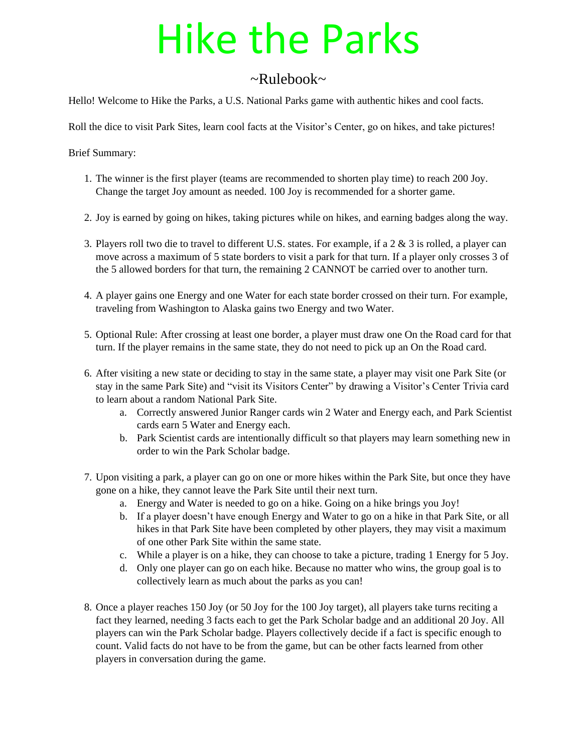# Hike the Parks

# $\sim$ Rulebook $\sim$

Hello! Welcome to Hike the Parks, a U.S. National Parks game with authentic hikes and cool facts.

Roll the dice to visit Park Sites, learn cool facts at the Visitor's Center, go on hikes, and take pictures!

Brief Summary:

- 1. The winner is the first player (teams are recommended to shorten play time) to reach 200 Joy. Change the target Joy amount as needed. 100 Joy is recommended for a shorter game.
- 2. Joy is earned by going on hikes, taking pictures while on hikes, and earning badges along the way.
- 3. Players roll two die to travel to different U.S. states. For example, if a 2 & 3 is rolled, a player can move across a maximum of 5 state borders to visit a park for that turn. If a player only crosses 3 of the 5 allowed borders for that turn, the remaining 2 CANNOT be carried over to another turn.
- 4. A player gains one Energy and one Water for each state border crossed on their turn. For example, traveling from Washington to Alaska gains two Energy and two Water.
- 5. Optional Rule: After crossing at least one border, a player must draw one On the Road card for that turn. If the player remains in the same state, they do not need to pick up an On the Road card.
- 6. After visiting a new state or deciding to stay in the same state, a player may visit one Park Site (or stay in the same Park Site) and "visit its Visitors Center" by drawing a Visitor's Center Trivia card to learn about a random National Park Site.
	- a. Correctly answered Junior Ranger cards win 2 Water and Energy each, and Park Scientist cards earn 5 Water and Energy each.
	- b. Park Scientist cards are intentionally difficult so that players may learn something new in order to win the Park Scholar badge.
- 7. Upon visiting a park, a player can go on one or more hikes within the Park Site, but once they have gone on a hike, they cannot leave the Park Site until their next turn.
	- a. Energy and Water is needed to go on a hike. Going on a hike brings you Joy!
	- b. If a player doesn't have enough Energy and Water to go on a hike in that Park Site, or all hikes in that Park Site have been completed by other players, they may visit a maximum of one other Park Site within the same state.
	- c. While a player is on a hike, they can choose to take a picture, trading 1 Energy for 5 Joy.
	- d. Only one player can go on each hike. Because no matter who wins, the group goal is to collectively learn as much about the parks as you can!
- 8. Once a player reaches 150 Joy (or 50 Joy for the 100 Joy target), all players take turns reciting a fact they learned, needing 3 facts each to get the Park Scholar badge and an additional 20 Joy. All players can win the Park Scholar badge. Players collectively decide if a fact is specific enough to count. Valid facts do not have to be from the game, but can be other facts learned from other players in conversation during the game.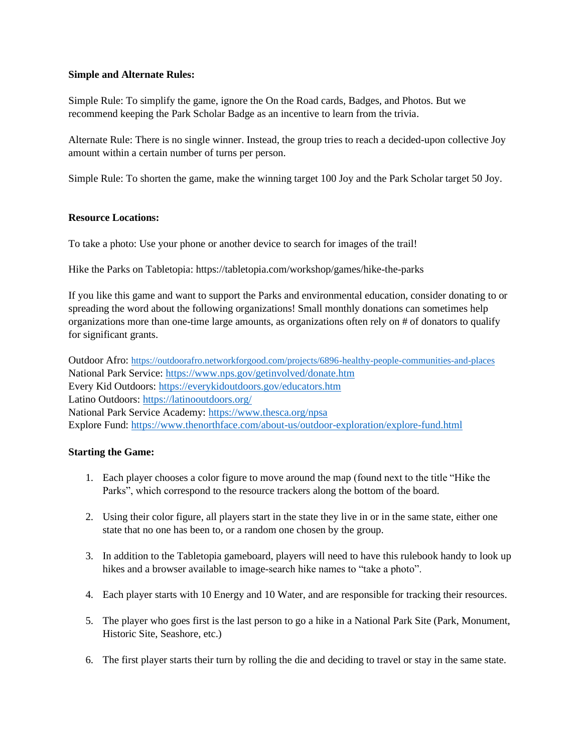## **Simple and Alternate Rules:**

Simple Rule: To simplify the game, ignore the On the Road cards, Badges, and Photos. But we recommend keeping the Park Scholar Badge as an incentive to learn from the trivia.

Alternate Rule: There is no single winner. Instead, the group tries to reach a decided-upon collective Joy amount within a certain number of turns per person.

Simple Rule: To shorten the game, make the winning target 100 Joy and the Park Scholar target 50 Joy.

## **Resource Locations:**

To take a photo: Use your phone or another device to search for images of the trail!

Hike the Parks on Tabletopia: https://tabletopia.com/workshop/games/hike-the-parks

If you like this game and want to support the Parks and environmental education, consider donating to or spreading the word about the following organizations! Small monthly donations can sometimes help organizations more than one-time large amounts, as organizations often rely on # of donators to qualify for significant grants.

Outdoor Afro: <https://outdoorafro.networkforgood.com/projects/6896-healthy-people-communities-and-places> National Park Service:<https://www.nps.gov/getinvolved/donate.htm> Every Kid Outdoors:<https://everykidoutdoors.gov/educators.htm> Latino Outdoors:<https://latinooutdoors.org/> National Park Service Academy:<https://www.thesca.org/npsa> Explore Fund:<https://www.thenorthface.com/about-us/outdoor-exploration/explore-fund.html>

## **Starting the Game:**

- 1. Each player chooses a color figure to move around the map (found next to the title "Hike the Parks", which correspond to the resource trackers along the bottom of the board.
- 2. Using their color figure, all players start in the state they live in or in the same state, either one state that no one has been to, or a random one chosen by the group.
- 3. In addition to the Tabletopia gameboard, players will need to have this rulebook handy to look up hikes and a browser available to image-search hike names to "take a photo".
- 4. Each player starts with 10 Energy and 10 Water, and are responsible for tracking their resources.
- 5. The player who goes first is the last person to go a hike in a National Park Site (Park, Monument, Historic Site, Seashore, etc.)
- 6. The first player starts their turn by rolling the die and deciding to travel or stay in the same state.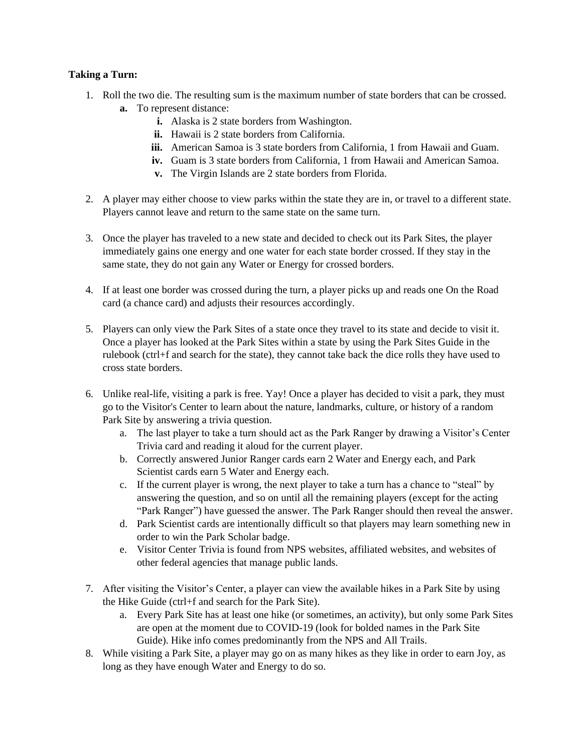## **Taking a Turn:**

- 1. Roll the two die. The resulting sum is the maximum number of state borders that can be crossed. **a.** To represent distance:
	- **i.** Alaska is 2 state borders from Washington.
	- **ii.** Hawaii is 2 state borders from California.
	- **iii.** American Samoa is 3 state borders from California, 1 from Hawaii and Guam.
	- **iv.** Guam is 3 state borders from California, 1 from Hawaii and American Samoa.
	- **v.** The Virgin Islands are 2 state borders from Florida.
- 2. A player may either choose to view parks within the state they are in, or travel to a different state. Players cannot leave and return to the same state on the same turn.
- 3. Once the player has traveled to a new state and decided to check out its Park Sites, the player immediately gains one energy and one water for each state border crossed. If they stay in the same state, they do not gain any Water or Energy for crossed borders.
- 4. If at least one border was crossed during the turn, a player picks up and reads one On the Road card (a chance card) and adjusts their resources accordingly.
- 5. Players can only view the Park Sites of a state once they travel to its state and decide to visit it. Once a player has looked at the Park Sites within a state by using the Park Sites Guide in the rulebook (ctrl+f and search for the state), they cannot take back the dice rolls they have used to cross state borders.
- 6. Unlike real-life, visiting a park is free. Yay! Once a player has decided to visit a park, they must go to the Visitor's Center to learn about the nature, landmarks, culture, or history of a random Park Site by answering a trivia question.
	- a. The last player to take a turn should act as the Park Ranger by drawing a Visitor's Center Trivia card and reading it aloud for the current player.
	- b. Correctly answered Junior Ranger cards earn 2 Water and Energy each, and Park Scientist cards earn 5 Water and Energy each.
	- c. If the current player is wrong, the next player to take a turn has a chance to "steal" by answering the question, and so on until all the remaining players (except for the acting "Park Ranger") have guessed the answer. The Park Ranger should then reveal the answer.
	- d. Park Scientist cards are intentionally difficult so that players may learn something new in order to win the Park Scholar badge.
	- e. Visitor Center Trivia is found from NPS websites, affiliated websites, and websites of other federal agencies that manage public lands.
- 7. After visiting the Visitor's Center, a player can view the available hikes in a Park Site by using the Hike Guide (ctrl+f and search for the Park Site).
	- a. Every Park Site has at least one hike (or sometimes, an activity), but only some Park Sites are open at the moment due to COVID-19 (look for bolded names in the Park Site Guide). Hike info comes predominantly from the NPS and All Trails.
- 8. While visiting a Park Site, a player may go on as many hikes as they like in order to earn Joy, as long as they have enough Water and Energy to do so.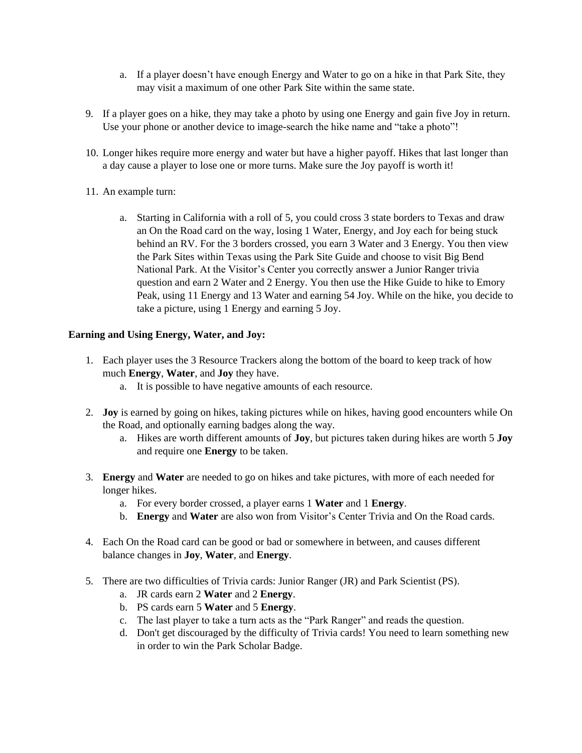- a. If a player doesn't have enough Energy and Water to go on a hike in that Park Site, they may visit a maximum of one other Park Site within the same state.
- 9. If a player goes on a hike, they may take a photo by using one Energy and gain five Joy in return. Use your phone or another device to image-search the hike name and "take a photo"!
- 10. Longer hikes require more energy and water but have a higher payoff. Hikes that last longer than a day cause a player to lose one or more turns. Make sure the Joy payoff is worth it!
- 11. An example turn:
	- a. Starting in California with a roll of 5, you could cross 3 state borders to Texas and draw an On the Road card on the way, losing 1 Water, Energy, and Joy each for being stuck behind an RV. For the 3 borders crossed, you earn 3 Water and 3 Energy. You then view the Park Sites within Texas using the Park Site Guide and choose to visit Big Bend National Park. At the Visitor's Center you correctly answer a Junior Ranger trivia question and earn 2 Water and 2 Energy. You then use the Hike Guide to hike to Emory Peak, using 11 Energy and 13 Water and earning 54 Joy. While on the hike, you decide to take a picture, using 1 Energy and earning 5 Joy.

## **Earning and Using Energy, Water, and Joy:**

- 1. Each player uses the 3 Resource Trackers along the bottom of the board to keep track of how much **Energy**, **Water**, and **Joy** they have.
	- a. It is possible to have negative amounts of each resource.
- 2. **Joy** is earned by going on hikes, taking pictures while on hikes, having good encounters while On the Road, and optionally earning badges along the way.
	- a. Hikes are worth different amounts of **Joy**, but pictures taken during hikes are worth 5 **Joy** and require one **Energy** to be taken.
- 3. **Energy** and **Water** are needed to go on hikes and take pictures, with more of each needed for longer hikes.
	- a. For every border crossed, a player earns 1 **Water** and 1 **Energy**.
	- b. **Energy** and **Water** are also won from Visitor's Center Trivia and On the Road cards.
- 4. Each On the Road card can be good or bad or somewhere in between, and causes different balance changes in **Joy**, **Water**, and **Energy**.
- 5. There are two difficulties of Trivia cards: Junior Ranger (JR) and Park Scientist (PS).
	- a. JR cards earn 2 **Water** and 2 **Energy**.
	- b. PS cards earn 5 **Water** and 5 **Energy**.
	- c. The last player to take a turn acts as the "Park Ranger" and reads the question.
	- d. Don't get discouraged by the difficulty of Trivia cards! You need to learn something new in order to win the Park Scholar Badge.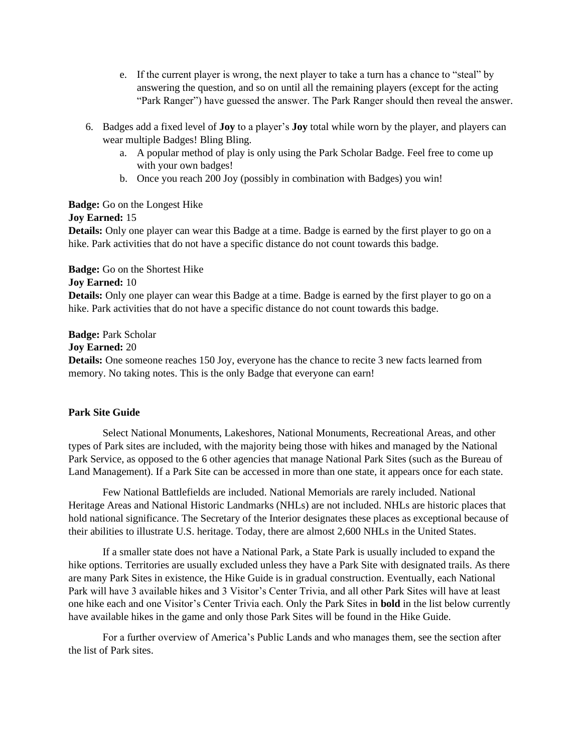- e. If the current player is wrong, the next player to take a turn has a chance to "steal" by answering the question, and so on until all the remaining players (except for the acting "Park Ranger") have guessed the answer. The Park Ranger should then reveal the answer.
- 6. Badges add a fixed level of **Joy** to a player's **Joy** total while worn by the player, and players can wear multiple Badges! Bling Bling.
	- a. A popular method of play is only using the Park Scholar Badge. Feel free to come up with your own badges!
	- b. Once you reach 200 Joy (possibly in combination with Badges) you win!

## **Badge:** Go on the Longest Hike

## **Joy Earned:** 15

**Details:** Only one player can wear this Badge at a time. Badge is earned by the first player to go on a hike. Park activities that do not have a specific distance do not count towards this badge.

## **Badge:** Go on the Shortest Hike

## **Joy Earned:** 10

**Details:** Only one player can wear this Badge at a time. Badge is earned by the first player to go on a hike. Park activities that do not have a specific distance do not count towards this badge.

**Badge:** Park Scholar

**Joy Earned:** 20

**Details:** One someone reaches 150 Joy, everyone has the chance to recite 3 new facts learned from memory. No taking notes. This is the only Badge that everyone can earn!

## **Park Site Guide**

Select National Monuments, Lakeshores, National Monuments, Recreational Areas, and other types of Park sites are included, with the majority being those with hikes and managed by the National Park Service, as opposed to the 6 other agencies that manage National Park Sites (such as the Bureau of Land Management). If a Park Site can be accessed in more than one state, it appears once for each state.

Few National Battlefields are included. National Memorials are rarely included. National Heritage Areas and National Historic Landmarks (NHLs) are not included. NHLs are historic places that hold national significance. The Secretary of the Interior designates these places as exceptional because of their abilities to illustrate U.S. heritage. Today, there are almost 2,600 NHLs in the United States.

If a smaller state does not have a National Park, a State Park is usually included to expand the hike options. Territories are usually excluded unless they have a Park Site with designated trails. As there are many Park Sites in existence, the Hike Guide is in gradual construction. Eventually, each National Park will have 3 available hikes and 3 Visitor's Center Trivia, and all other Park Sites will have at least one hike each and one Visitor's Center Trivia each. Only the Park Sites in **bold** in the list below currently have available hikes in the game and only those Park Sites will be found in the Hike Guide.

For a further overview of America's Public Lands and who manages them, see the section after the list of Park sites.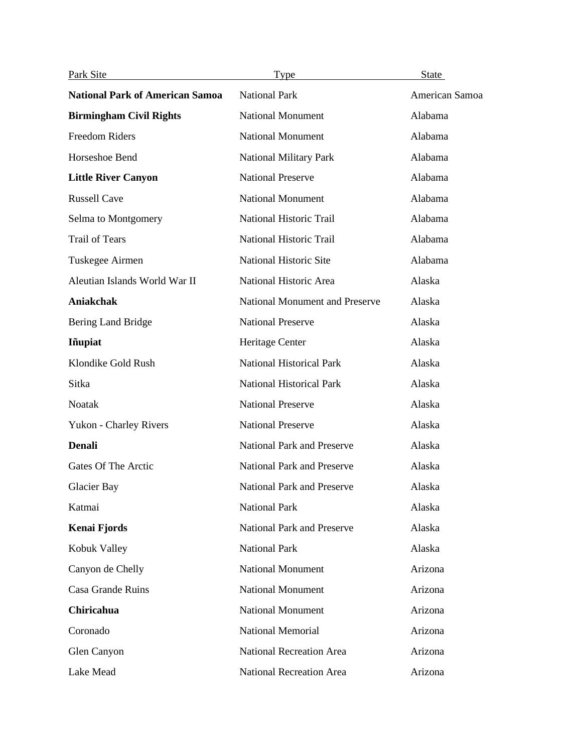| Park Site                              | <b>Type</b>                       | <b>State</b>   |
|----------------------------------------|-----------------------------------|----------------|
| <b>National Park of American Samoa</b> | <b>National Park</b>              | American Samoa |
| <b>Birmingham Civil Rights</b>         | <b>National Monument</b>          | Alabama        |
| Freedom Riders                         | <b>National Monument</b>          | Alabama        |
| Horseshoe Bend                         | <b>National Military Park</b>     | Alabama        |
| <b>Little River Canyon</b>             | <b>National Preserve</b>          | Alabama        |
| <b>Russell Cave</b>                    | <b>National Monument</b>          | Alabama        |
| Selma to Montgomery                    | National Historic Trail           | Alabama        |
| <b>Trail of Tears</b>                  | National Historic Trail           | Alabama        |
| Tuskegee Airmen                        | National Historic Site            | Alabama        |
| Aleutian Islands World War II          | National Historic Area            | Alaska         |
| Aniakchak                              | National Monument and Preserve    | Alaska         |
| Bering Land Bridge                     | <b>National Preserve</b>          | Alaska         |
| Iñupiat                                | Heritage Center                   | Alaska         |
| Klondike Gold Rush                     | <b>National Historical Park</b>   | Alaska         |
| Sitka                                  | <b>National Historical Park</b>   | Alaska         |
| <b>Noatak</b>                          | <b>National Preserve</b>          | Alaska         |
| Yukon - Charley Rivers                 | <b>National Preserve</b>          | Alaska         |
| <b>Denali</b>                          | <b>National Park and Preserve</b> | Alaska         |
| Gates Of The Arctic                    | <b>National Park and Preserve</b> | Alaska         |
| Glacier Bay                            | National Park and Preserve        | Alaska         |
| Katmai                                 | <b>National Park</b>              | Alaska         |
| Kenai Fjords                           | <b>National Park and Preserve</b> | Alaska         |
| Kobuk Valley                           | <b>National Park</b>              | Alaska         |
| Canyon de Chelly                       | <b>National Monument</b>          | Arizona        |
| Casa Grande Ruins                      | <b>National Monument</b>          | Arizona        |
| Chiricahua                             | <b>National Monument</b>          | Arizona        |
| Coronado                               | National Memorial                 | Arizona        |
| Glen Canyon                            | <b>National Recreation Area</b>   | Arizona        |
| Lake Mead                              | National Recreation Area          | Arizona        |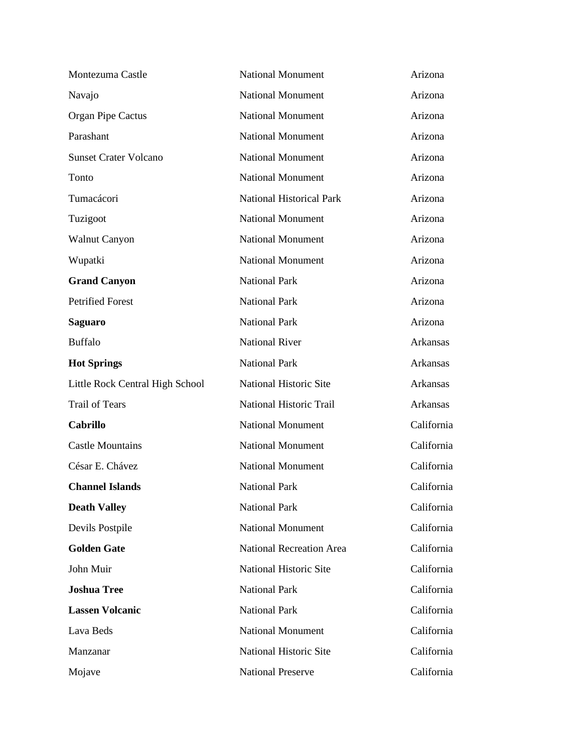| Montezuma Castle                | <b>National Monument</b>        | Arizona         |
|---------------------------------|---------------------------------|-----------------|
| Navajo                          | <b>National Monument</b>        | Arizona         |
| <b>Organ Pipe Cactus</b>        | <b>National Monument</b>        | Arizona         |
| Parashant                       | <b>National Monument</b>        | Arizona         |
| <b>Sunset Crater Volcano</b>    | <b>National Monument</b>        | Arizona         |
| Tonto                           | <b>National Monument</b>        | Arizona         |
| Tumacácori                      | <b>National Historical Park</b> | Arizona         |
| Tuzigoot                        | <b>National Monument</b>        | Arizona         |
| <b>Walnut Canyon</b>            | <b>National Monument</b>        | Arizona         |
| Wupatki                         | <b>National Monument</b>        | Arizona         |
| <b>Grand Canyon</b>             | <b>National Park</b>            | Arizona         |
| <b>Petrified Forest</b>         | <b>National Park</b>            | Arizona         |
| <b>Saguaro</b>                  | <b>National Park</b>            | Arizona         |
| <b>Buffalo</b>                  | <b>National River</b>           | Arkansas        |
| <b>Hot Springs</b>              | <b>National Park</b>            | Arkansas        |
| Little Rock Central High School | National Historic Site          | <b>Arkansas</b> |
| <b>Trail of Tears</b>           | National Historic Trail         | Arkansas        |
| <b>Cabrillo</b>                 | <b>National Monument</b>        | California      |
| <b>Castle Mountains</b>         | <b>National Monument</b>        | California      |
| César E. Chávez                 | <b>National Monument</b>        | California      |
| <b>Channel Islands</b>          | <b>National Park</b>            | California      |
| <b>Death Valley</b>             | <b>National Park</b>            | California      |
| Devils Postpile                 | <b>National Monument</b>        | California      |
| <b>Golden Gate</b>              | <b>National Recreation Area</b> | California      |
| John Muir                       | National Historic Site          | California      |
| <b>Joshua Tree</b>              | <b>National Park</b>            | California      |
| <b>Lassen Volcanic</b>          | <b>National Park</b>            | California      |
| Lava Beds                       | <b>National Monument</b>        | California      |
| Manzanar                        | National Historic Site          | California      |
| Mojave                          | <b>National Preserve</b>        | California      |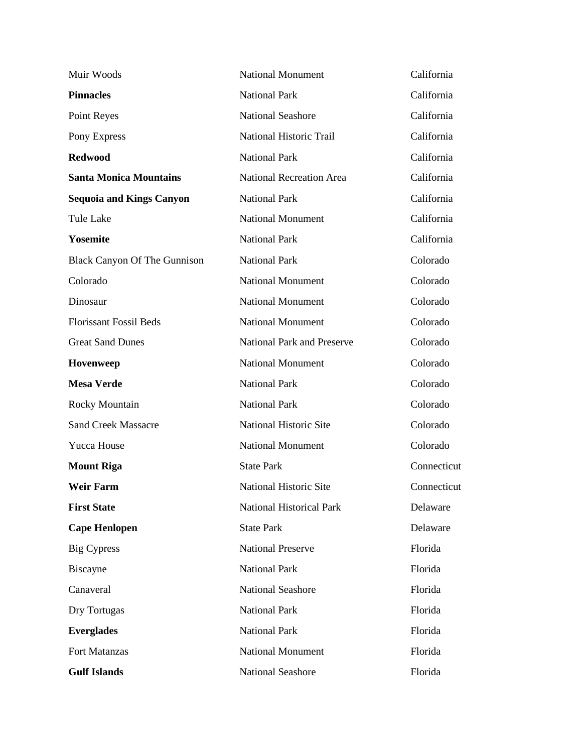| Muir Woods                          | <b>National Monument</b>        | California  |
|-------------------------------------|---------------------------------|-------------|
| <b>Pinnacles</b>                    | <b>National Park</b>            | California  |
| Point Reyes                         | <b>National Seashore</b>        | California  |
| Pony Express                        | National Historic Trail         | California  |
| <b>Redwood</b>                      | <b>National Park</b>            | California  |
| <b>Santa Monica Mountains</b>       | <b>National Recreation Area</b> | California  |
| <b>Sequoia and Kings Canyon</b>     | <b>National Park</b>            | California  |
| <b>Tule Lake</b>                    | <b>National Monument</b>        | California  |
| Yosemite                            | <b>National Park</b>            | California  |
| <b>Black Canyon Of The Gunnison</b> | <b>National Park</b>            | Colorado    |
| Colorado                            | <b>National Monument</b>        | Colorado    |
| Dinosaur                            | <b>National Monument</b>        | Colorado    |
| <b>Florissant Fossil Beds</b>       | <b>National Monument</b>        | Colorado    |
| <b>Great Sand Dunes</b>             | National Park and Preserve      | Colorado    |
| Hovenweep                           | <b>National Monument</b>        | Colorado    |
| <b>Mesa Verde</b>                   | <b>National Park</b>            | Colorado    |
| Rocky Mountain                      | <b>National Park</b>            | Colorado    |
| <b>Sand Creek Massacre</b>          | National Historic Site          | Colorado    |
| Yucca House                         | <b>National Monument</b>        | Colorado    |
| <b>Mount Riga</b>                   | <b>State Park</b>               | Connecticut |
| <b>Weir Farm</b>                    | National Historic Site          | Connecticut |
| <b>First State</b>                  | <b>National Historical Park</b> | Delaware    |
| <b>Cape Henlopen</b>                | <b>State Park</b>               | Delaware    |
| Big Cypress                         | <b>National Preserve</b>        | Florida     |
| Biscayne                            | <b>National Park</b>            | Florida     |
| Canaveral                           | <b>National Seashore</b>        | Florida     |
| Dry Tortugas                        | <b>National Park</b>            | Florida     |
| <b>Everglades</b>                   | <b>National Park</b>            | Florida     |
| Fort Matanzas                       | <b>National Monument</b>        | Florida     |
| <b>Gulf Islands</b>                 | National Seashore               | Florida     |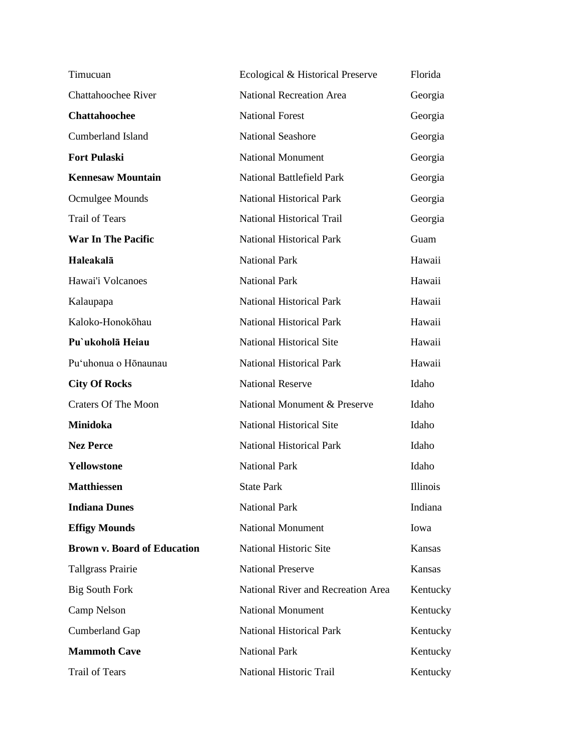| Timucuan                           | Ecological & Historical Preserve   | Florida  |
|------------------------------------|------------------------------------|----------|
| <b>Chattahoochee River</b>         | <b>National Recreation Area</b>    | Georgia  |
| Chattahoochee                      | <b>National Forest</b>             | Georgia  |
| <b>Cumberland Island</b>           | <b>National Seashore</b>           | Georgia  |
| <b>Fort Pulaski</b>                | <b>National Monument</b>           | Georgia  |
| <b>Kennesaw Mountain</b>           | <b>National Battlefield Park</b>   | Georgia  |
| Ocmulgee Mounds                    | <b>National Historical Park</b>    | Georgia  |
| <b>Trail of Tears</b>              | <b>National Historical Trail</b>   | Georgia  |
| <b>War In The Pacific</b>          | <b>National Historical Park</b>    | Guam     |
| Haleakalā                          | <b>National Park</b>               | Hawaii   |
| Hawai'i Volcanoes                  | <b>National Park</b>               | Hawaii   |
| Kalaupapa                          | <b>National Historical Park</b>    | Hawaii   |
| Kaloko-Honokōhau                   | <b>National Historical Park</b>    | Hawaii   |
| Pu'ukoholā Heiau                   | <b>National Historical Site</b>    | Hawaii   |
| Pu'uhonua o Hōnaunau               | <b>National Historical Park</b>    | Hawaii   |
| <b>City Of Rocks</b>               | <b>National Reserve</b>            | Idaho    |
| <b>Craters Of The Moon</b>         | National Monument & Preserve       | Idaho    |
| <b>Minidoka</b>                    | <b>National Historical Site</b>    | Idaho    |
| <b>Nez Perce</b>                   | <b>National Historical Park</b>    | Idaho    |
| Yellowstone                        | <b>National Park</b>               | Idaho    |
| <b>Matthiessen</b>                 | <b>State Park</b>                  | Illinois |
| <b>Indiana Dunes</b>               | <b>National Park</b>               | Indiana  |
| <b>Effigy Mounds</b>               | <b>National Monument</b>           | Iowa     |
| <b>Brown v. Board of Education</b> | National Historic Site             | Kansas   |
| <b>Tallgrass Prairie</b>           | <b>National Preserve</b>           | Kansas   |
| <b>Big South Fork</b>              | National River and Recreation Area | Kentucky |
| Camp Nelson                        | <b>National Monument</b>           | Kentucky |
| Cumberland Gap                     | <b>National Historical Park</b>    | Kentucky |
| <b>Mammoth Cave</b>                | <b>National Park</b>               | Kentucky |
| Trail of Tears                     | National Historic Trail            | Kentucky |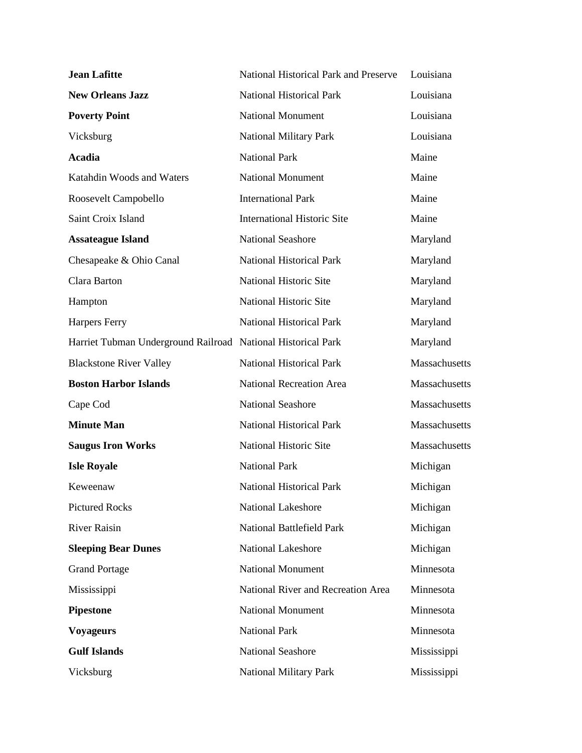| <b>Jean Lafitte</b>                                          | National Historical Park and Preserve | Louisiana     |
|--------------------------------------------------------------|---------------------------------------|---------------|
| <b>New Orleans Jazz</b>                                      | <b>National Historical Park</b>       | Louisiana     |
| <b>Poverty Point</b>                                         | <b>National Monument</b>              | Louisiana     |
| Vicksburg                                                    | National Military Park                | Louisiana     |
| Acadia                                                       | <b>National Park</b>                  | Maine         |
| Katahdin Woods and Waters                                    | <b>National Monument</b>              | Maine         |
| Roosevelt Campobello                                         | <b>International Park</b>             | Maine         |
| Saint Croix Island                                           | <b>International Historic Site</b>    | Maine         |
| <b>Assateague Island</b>                                     | <b>National Seashore</b>              | Maryland      |
| Chesapeake & Ohio Canal                                      | <b>National Historical Park</b>       | Maryland      |
| Clara Barton                                                 | National Historic Site                | Maryland      |
| Hampton                                                      | National Historic Site                | Maryland      |
| Harpers Ferry                                                | <b>National Historical Park</b>       | Maryland      |
| Harriet Tubman Underground Railroad National Historical Park |                                       | Maryland      |
| <b>Blackstone River Valley</b>                               | <b>National Historical Park</b>       | Massachusetts |
| <b>Boston Harbor Islands</b>                                 | <b>National Recreation Area</b>       | Massachusetts |
| Cape Cod                                                     | <b>National Seashore</b>              | Massachusetts |
| <b>Minute Man</b>                                            | <b>National Historical Park</b>       | Massachusetts |
| <b>Saugus Iron Works</b>                                     | National Historic Site                | Massachusetts |
| <b>Isle Royale</b>                                           | <b>National Park</b>                  | Michigan      |
| Keweenaw                                                     | <b>National Historical Park</b>       | Michigan      |
| <b>Pictured Rocks</b>                                        | <b>National Lakeshore</b>             | Michigan      |
| <b>River Raisin</b>                                          | <b>National Battlefield Park</b>      | Michigan      |
| <b>Sleeping Bear Dunes</b>                                   | <b>National Lakeshore</b>             | Michigan      |
| <b>Grand Portage</b>                                         | <b>National Monument</b>              | Minnesota     |
| Mississippi                                                  | National River and Recreation Area    | Minnesota     |
| <b>Pipestone</b>                                             | <b>National Monument</b>              | Minnesota     |
| <b>Voyageurs</b>                                             | <b>National Park</b>                  | Minnesota     |
| <b>Gulf Islands</b>                                          | <b>National Seashore</b>              | Mississippi   |
| Vicksburg                                                    | <b>National Military Park</b>         | Mississippi   |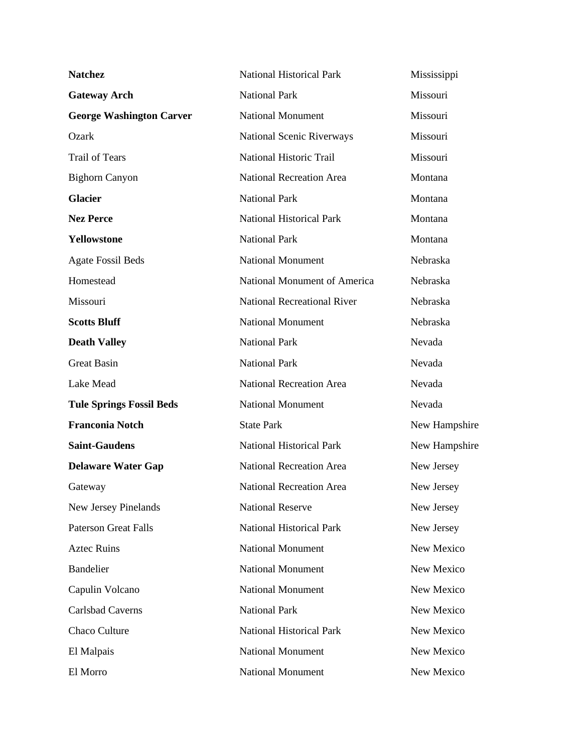| <b>Natchez</b>                  | <b>National Historical Park</b>    | Mississippi   |
|---------------------------------|------------------------------------|---------------|
| <b>Gateway Arch</b>             | <b>National Park</b>               | Missouri      |
| <b>George Washington Carver</b> | <b>National Monument</b>           | Missouri      |
| Ozark                           | <b>National Scenic Riverways</b>   | Missouri      |
| <b>Trail of Tears</b>           | National Historic Trail            | Missouri      |
| <b>Bighorn Canyon</b>           | <b>National Recreation Area</b>    | Montana       |
| <b>Glacier</b>                  | <b>National Park</b>               | Montana       |
| <b>Nez Perce</b>                | <b>National Historical Park</b>    | Montana       |
| Yellowstone                     | <b>National Park</b>               | Montana       |
| <b>Agate Fossil Beds</b>        | National Monument                  | Nebraska      |
| Homestead                       | National Monument of America       | Nebraska      |
| Missouri                        | <b>National Recreational River</b> | Nebraska      |
| <b>Scotts Bluff</b>             | <b>National Monument</b>           | Nebraska      |
| <b>Death Valley</b>             | <b>National Park</b>               | Nevada        |
| <b>Great Basin</b>              | <b>National Park</b>               | Nevada        |
| Lake Mead                       | <b>National Recreation Area</b>    | Nevada        |
| <b>Tule Springs Fossil Beds</b> | <b>National Monument</b>           | Nevada        |
| <b>Franconia Notch</b>          | <b>State Park</b>                  | New Hampshire |
| <b>Saint-Gaudens</b>            | <b>National Historical Park</b>    | New Hampshire |
| <b>Delaware Water Gap</b>       | <b>National Recreation Area</b>    | New Jersey    |
| Gateway                         | National Recreation Area           | New Jersey    |
| New Jersey Pinelands            | <b>National Reserve</b>            | New Jersey    |
| <b>Paterson Great Falls</b>     | <b>National Historical Park</b>    | New Jersey    |
| <b>Aztec Ruins</b>              | <b>National Monument</b>           | New Mexico    |
| <b>Bandelier</b>                | <b>National Monument</b>           | New Mexico    |
| Capulin Volcano                 | <b>National Monument</b>           | New Mexico    |
| <b>Carlsbad Caverns</b>         | <b>National Park</b>               | New Mexico    |
| <b>Chaco Culture</b>            | <b>National Historical Park</b>    | New Mexico    |
| El Malpais                      | <b>National Monument</b>           | New Mexico    |
| El Morro                        | <b>National Monument</b>           | New Mexico    |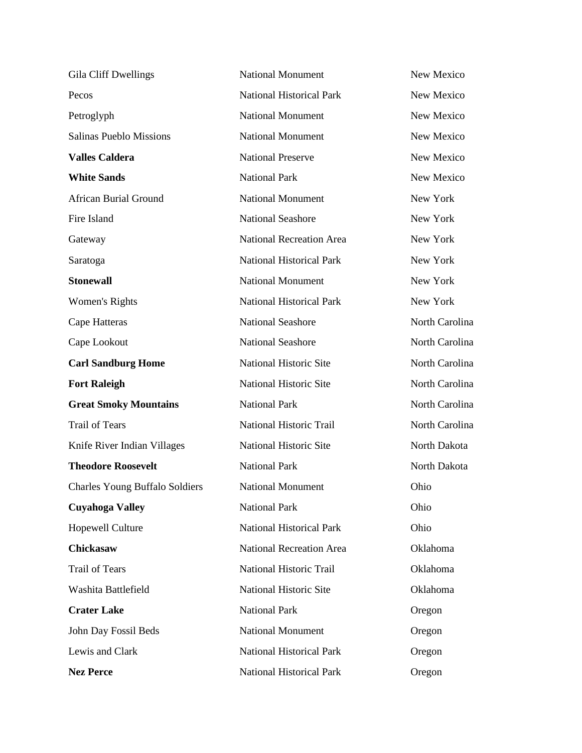| Gila Cliff Dwellings                  | <b>National Monument</b>        | New Mexico     |
|---------------------------------------|---------------------------------|----------------|
| Pecos                                 | <b>National Historical Park</b> | New Mexico     |
| Petroglyph                            | <b>National Monument</b>        | New Mexico     |
| <b>Salinas Pueblo Missions</b>        | <b>National Monument</b>        | New Mexico     |
| <b>Valles Caldera</b>                 | <b>National Preserve</b>        | New Mexico     |
| <b>White Sands</b>                    | <b>National Park</b>            | New Mexico     |
| <b>African Burial Ground</b>          | <b>National Monument</b>        | New York       |
| Fire Island                           | <b>National Seashore</b>        | New York       |
| Gateway                               | National Recreation Area        | New York       |
| Saratoga                              | <b>National Historical Park</b> | New York       |
| <b>Stonewall</b>                      | <b>National Monument</b>        | New York       |
| Women's Rights                        | <b>National Historical Park</b> | New York       |
| Cape Hatteras                         | <b>National Seashore</b>        | North Carolina |
| Cape Lookout                          | <b>National Seashore</b>        | North Carolina |
| <b>Carl Sandburg Home</b>             | National Historic Site          | North Carolina |
| <b>Fort Raleigh</b>                   | National Historic Site          | North Carolina |
| <b>Great Smoky Mountains</b>          | <b>National Park</b>            | North Carolina |
|                                       |                                 | North Carolina |
| <b>Trail of Tears</b>                 | National Historic Trail         |                |
| Knife River Indian Villages           | National Historic Site          | North Dakota   |
| <b>Theodore Roosevelt</b>             | <b>National Park</b>            | North Dakota   |
| <b>Charles Young Buffalo Soldiers</b> | <b>National Monument</b>        | Ohio           |
| <b>Cuyahoga Valley</b>                | <b>National Park</b>            | Ohio           |
| Hopewell Culture                      | <b>National Historical Park</b> | Ohio           |
| Chickasaw                             | <b>National Recreation Area</b> | Oklahoma       |
| <b>Trail of Tears</b>                 | National Historic Trail         | Oklahoma       |
| Washita Battlefield                   | National Historic Site          | Oklahoma       |
| <b>Crater Lake</b>                    | <b>National Park</b>            | Oregon         |
| John Day Fossil Beds                  | <b>National Monument</b>        | Oregon         |
| Lewis and Clark                       | <b>National Historical Park</b> | Oregon         |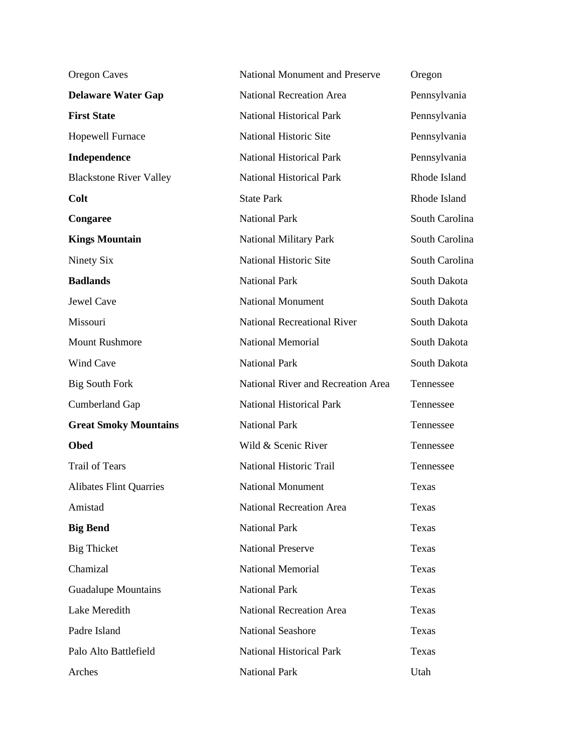| <b>Oregon Caves</b>            | <b>National Monument and Preserve</b> | Oregon         |
|--------------------------------|---------------------------------------|----------------|
| <b>Delaware Water Gap</b>      | <b>National Recreation Area</b>       | Pennsylvania   |
| <b>First State</b>             | National Historical Park              | Pennsylvania   |
| <b>Hopewell Furnace</b>        | National Historic Site                | Pennsylvania   |
| Independence                   | <b>National Historical Park</b>       | Pennsylvania   |
| <b>Blackstone River Valley</b> | <b>National Historical Park</b>       | Rhode Island   |
| Colt                           | <b>State Park</b>                     | Rhode Island   |
| Congaree                       | <b>National Park</b>                  | South Carolina |
| <b>Kings Mountain</b>          | <b>National Military Park</b>         | South Carolina |
| Ninety Six                     | National Historic Site                | South Carolina |
| <b>Badlands</b>                | <b>National Park</b>                  | South Dakota   |
| Jewel Cave                     | <b>National Monument</b>              | South Dakota   |
| Missouri                       | <b>National Recreational River</b>    | South Dakota   |
| <b>Mount Rushmore</b>          | <b>National Memorial</b>              | South Dakota   |
| Wind Cave                      | <b>National Park</b>                  | South Dakota   |
| <b>Big South Fork</b>          | National River and Recreation Area    | Tennessee      |
| <b>Cumberland Gap</b>          | <b>National Historical Park</b>       | Tennessee      |
| <b>Great Smoky Mountains</b>   | <b>National Park</b>                  | Tennessee      |
| <b>Obed</b>                    | Wild & Scenic River                   | Tennessee      |
| <b>Trail of Tears</b>          | National Historic Trail               | Tennessee      |
| <b>Alibates Flint Quarries</b> | <b>National Monument</b>              | Texas          |
| Amistad                        | <b>National Recreation Area</b>       | Texas          |
| <b>Big Bend</b>                | <b>National Park</b>                  | Texas          |
| <b>Big Thicket</b>             | <b>National Preserve</b>              | Texas          |
| Chamizal                       | <b>National Memorial</b>              | Texas          |
| <b>Guadalupe Mountains</b>     | <b>National Park</b>                  | Texas          |
| Lake Meredith                  | <b>National Recreation Area</b>       | Texas          |
| Padre Island                   | <b>National Seashore</b>              | Texas          |
| Palo Alto Battlefield          | <b>National Historical Park</b>       | Texas          |
| Arches                         | <b>National Park</b>                  | Utah           |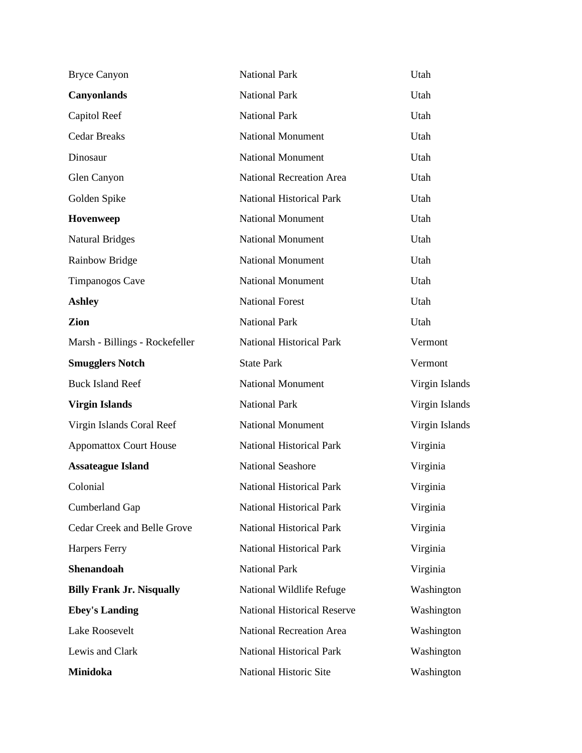| <b>Bryce Canyon</b>                | <b>National Park</b>               | Utah           |
|------------------------------------|------------------------------------|----------------|
| <b>Canyonlands</b>                 | <b>National Park</b>               | Utah           |
| Capitol Reef                       | <b>National Park</b>               | Utah           |
| <b>Cedar Breaks</b>                | National Monument                  | Utah           |
| Dinosaur                           | <b>National Monument</b>           | Utah           |
| Glen Canyon                        | <b>National Recreation Area</b>    | Utah           |
| Golden Spike                       | National Historical Park           | Utah           |
| Hovenweep                          | <b>National Monument</b>           | Utah           |
| <b>Natural Bridges</b>             | <b>National Monument</b>           | Utah           |
| <b>Rainbow Bridge</b>              | <b>National Monument</b>           | Utah           |
| Timpanogos Cave                    | <b>National Monument</b>           | Utah           |
| <b>Ashley</b>                      | <b>National Forest</b>             | Utah           |
| Zion                               | <b>National Park</b>               | Utah           |
| Marsh - Billings - Rockefeller     | <b>National Historical Park</b>    | Vermont        |
| <b>Smugglers Notch</b>             | <b>State Park</b>                  | Vermont        |
| <b>Buck Island Reef</b>            | <b>National Monument</b>           | Virgin Islands |
| <b>Virgin Islands</b>              | <b>National Park</b>               | Virgin Islands |
| Virgin Islands Coral Reef          | <b>National Monument</b>           | Virgin Islands |
| <b>Appomattox Court House</b>      | <b>National Historical Park</b>    | Virginia       |
| <b>Assateague Island</b>           | <b>National Seashore</b>           | Virginia       |
| Colonial                           | <b>National Historical Park</b>    | Virginia       |
| <b>Cumberland Gap</b>              | <b>National Historical Park</b>    | Virginia       |
| <b>Cedar Creek and Belle Grove</b> | <b>National Historical Park</b>    | Virginia       |
| <b>Harpers Ferry</b>               | <b>National Historical Park</b>    | Virginia       |
| Shenandoah                         | <b>National Park</b>               | Virginia       |
| <b>Billy Frank Jr. Nisqually</b>   | National Wildlife Refuge           | Washington     |
| <b>Ebey's Landing</b>              | <b>National Historical Reserve</b> | Washington     |
| Lake Roosevelt                     | <b>National Recreation Area</b>    | Washington     |
| Lewis and Clark                    | <b>National Historical Park</b>    | Washington     |
| Minidoka                           | National Historic Site             | Washington     |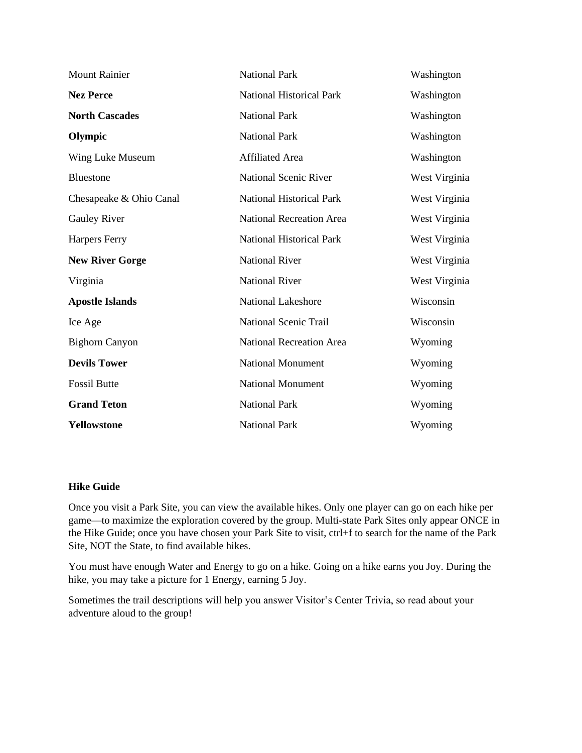| <b>Mount Rainier</b>    | <b>National Park</b>            | Washington    |
|-------------------------|---------------------------------|---------------|
| <b>Nez Perce</b>        | <b>National Historical Park</b> | Washington    |
| <b>North Cascades</b>   | <b>National Park</b>            | Washington    |
| Olympic                 | <b>National Park</b>            | Washington    |
| Wing Luke Museum        | <b>Affiliated Area</b>          | Washington    |
| <b>Bluestone</b>        | <b>National Scenic River</b>    | West Virginia |
| Chesapeake & Ohio Canal | <b>National Historical Park</b> | West Virginia |
| <b>Gauley River</b>     | <b>National Recreation Area</b> | West Virginia |
| Harpers Ferry           | <b>National Historical Park</b> | West Virginia |
| <b>New River Gorge</b>  | <b>National River</b>           | West Virginia |
| Virginia                | <b>National River</b>           | West Virginia |
| <b>Apostle Islands</b>  | <b>National Lakeshore</b>       | Wisconsin     |
| Ice Age                 | National Scenic Trail           | Wisconsin     |
| <b>Bighorn Canyon</b>   | <b>National Recreation Area</b> | Wyoming       |
| <b>Devils Tower</b>     | <b>National Monument</b>        | Wyoming       |
| <b>Fossil Butte</b>     | <b>National Monument</b>        | Wyoming       |
| <b>Grand Teton</b>      | <b>National Park</b>            | Wyoming       |
| Yellowstone             | <b>National Park</b>            | Wyoming       |

## **Hike Guide**

Once you visit a Park Site, you can view the available hikes. Only one player can go on each hike per game—to maximize the exploration covered by the group. Multi-state Park Sites only appear ONCE in the Hike Guide; once you have chosen your Park Site to visit, ctrl+f to search for the name of the Park Site, NOT the State, to find available hikes.

You must have enough Water and Energy to go on a hike. Going on a hike earns you Joy. During the hike, you may take a picture for 1 Energy, earning 5 Joy.

Sometimes the trail descriptions will help you answer Visitor's Center Trivia, so read about your adventure aloud to the group!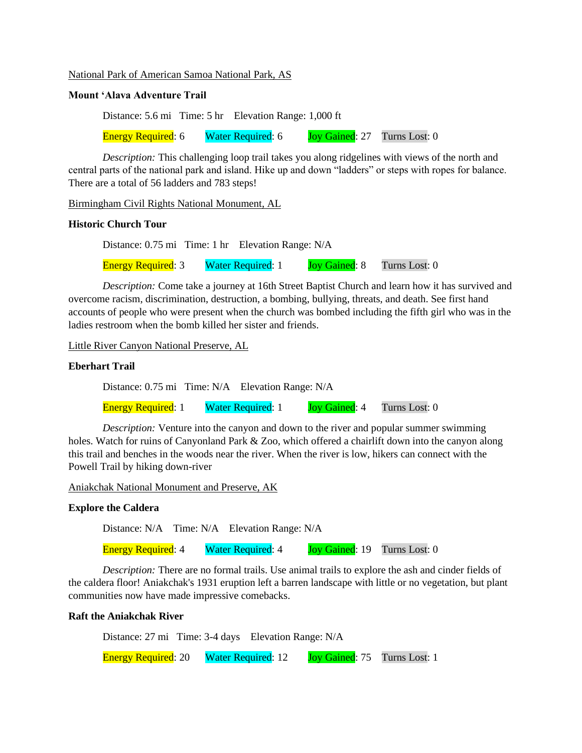National Park of American Samoa National Park, AS

## **Mount 'Alava Adventure Trail**

Distance: 5.6 mi Time: 5 hr Elevation Range: 1,000 ft Energy Required: 6 Water Required: 6 Joy Gained: 27 Turns Lost: 0

*Description:* This challenging loop trail takes you along ridgelines with views of the north and central parts of the national park and island. Hike up and down "ladders" or steps with ropes for balance. There are a total of 56 ladders and 783 steps!

Birmingham Civil Rights National Monument, AL

#### **Historic Church Tour**

Distance: 0.75 mi Time: 1 hr Elevation Range: N/A

Energy Required: 3 Water Required: 1 Joy Gained: 8 Turns Lost: 0

*Description:* Come take a journey at 16th Street Baptist Church and learn how it has survived and overcome racism, discrimination, destruction, a bombing, bullying, threats, and death. See first hand accounts of people who were present when the church was bombed including the fifth girl who was in the ladies restroom when the bomb killed her sister and friends.

Little River Canyon National Preserve, AL

## **Eberhart Trail**

Distance: 0.75 mi Time: N/A Elevation Range: N/A

Energy Required: 1 Water Required: 1 Joy Gained: 4 Turns Lost: 0

*Description:* Venture into the canyon and down to the river and popular summer swimming holes. Watch for ruins of Canyonland Park & Zoo, which offered a chairlift down into the canyon along this trail and benches in the woods near the river. When the river is low, hikers can connect with the Powell Trail by hiking down-river

Aniakchak National Monument and Preserve, AK

## **Explore the Caldera**

Distance: N/A Time: N/A Elevation Range: N/A

Energy Required: 4 Water Required: 4 Joy Gained: 19 Turns Lost: 0

*Description:* There are no formal trails. Use animal trails to explore the ash and cinder fields of the caldera floor! Aniakchak's 1931 eruption left a barren landscape with little or no vegetation, but plant communities now have made impressive comebacks.

#### **Raft the Aniakchak River**

Distance: 27 mi Time: 3-4 days Elevation Range: N/A

Energy Required: 20 Water Required: 12 Joy Gained: 75 Turns Lost: 1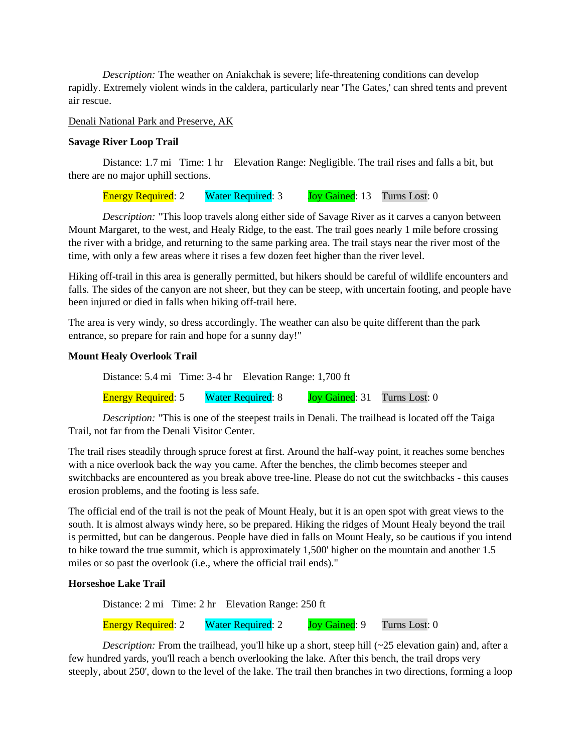*Description:* The weather on Aniakchak is severe; life-threatening conditions can develop rapidly. Extremely violent winds in the caldera, particularly near 'The Gates,' can shred tents and prevent air rescue.

## Denali National Park and Preserve, AK

#### **Savage River Loop Trail**

Distance: 1.7 mi Time: 1 hr Elevation Range: Negligible. The trail rises and falls a bit, but there are no major uphill sections.

Energy Required: 2 Water Required: 3 Joy Gained: 13 Turns Lost: 0

*Description:* "This loop travels along either side of Savage River as it carves a canyon between Mount Margaret, to the west, and Healy Ridge, to the east. The trail goes nearly 1 mile before crossing the river with a bridge, and returning to the same parking area. The trail stays near the river most of the time, with only a few areas where it rises a few dozen feet higher than the river level.

Hiking off-trail in this area is generally permitted, but hikers should be careful of wildlife encounters and falls. The sides of the canyon are not sheer, but they can be steep, with uncertain footing, and people have been injured or died in falls when hiking off-trail here.

The area is very windy, so dress accordingly. The weather can also be quite different than the park entrance, so prepare for rain and hope for a sunny day!"

#### **Mount Healy Overlook Trail**

Distance: 5.4 mi Time: 3-4 hr Elevation Range: 1,700 ft Energy Required: 5 Water Required: 8 Joy Gained: 31 Turns Lost: 0

*Description:* "This is one of the steepest trails in Denali. The trailhead is located off the Taiga Trail, not far from the Denali Visitor Center.

The trail rises steadily through spruce forest at first. Around the half-way point, it reaches some benches with a nice overlook back the way you came. After the benches, the climb becomes steeper and switchbacks are encountered as you break above tree-line. Please do not cut the switchbacks - this causes erosion problems, and the footing is less safe.

The official end of the trail is not the peak of Mount Healy, but it is an open spot with great views to the south. It is almost always windy here, so be prepared. Hiking the ridges of Mount Healy beyond the trail is permitted, but can be dangerous. People have died in falls on Mount Healy, so be cautious if you intend to hike toward the true summit, which is approximately 1,500' higher on the mountain and another 1.5 miles or so past the overlook (i.e., where the official trail ends)."

## **Horseshoe Lake Trail**

Distance: 2 mi Time: 2 hr Elevation Range: 250 ft

Energy Required: 2 Water Required: 2 Joy Gained: 9 Turns Lost: 0

*Description:* From the trailhead, you'll hike up a short, steep hill (~25 elevation gain) and, after a few hundred yards, you'll reach a bench overlooking the lake. After this bench, the trail drops very steeply, about 250', down to the level of the lake. The trail then branches in two directions, forming a loop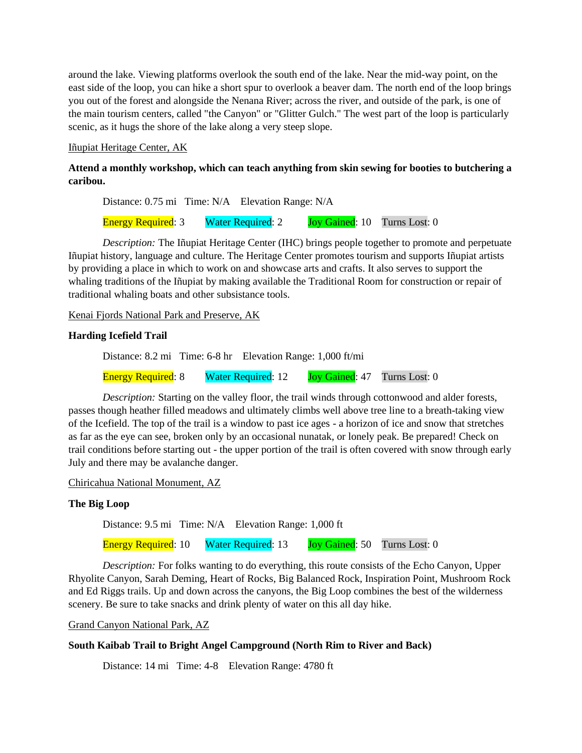around the lake. Viewing platforms overlook the south end of the lake. Near the mid-way point, on the east side of the loop, you can hike a short spur to overlook a beaver dam. The north end of the loop brings you out of the forest and alongside the Nenana River; across the river, and outside of the park, is one of the main tourism centers, called "the Canyon" or "Glitter Gulch." The west part of the loop is particularly scenic, as it hugs the shore of the lake along a very steep slope.

## Iñupiat Heritage Center, AK

## **Attend a monthly workshop, which can teach anything from skin sewing for booties to butchering a caribou.**

Distance: 0.75 mi Time: N/A Elevation Range: N/A

Energy Required: 3 Water Required: 2 Joy Gained: 10 Turns Lost: 0

*Description:* The Iñupiat Heritage Center (IHC) brings people together to promote and perpetuate Iñupiat history, language and culture. The Heritage Center promotes tourism and supports Iñupiat artists by providing a place in which to work on and showcase arts and crafts. It also serves to support the whaling traditions of the Iñupiat by making available the Traditional Room for construction or repair of traditional whaling boats and other subsistance tools.

Kenai Fjords National Park and Preserve, AK

## **Harding Icefield Trail**

Distance: 8.2 mi Time: 6-8 hr Elevation Range: 1,000 ft/mi

Energy Required: 8 Water Required: 12 Joy Gained: 47 Turns Lost: 0

*Description:* Starting on the valley floor, the trail winds through cottonwood and alder forests, passes though heather filled meadows and ultimately climbs well above tree line to a breath-taking view of the Icefield. The top of the trail is a window to past ice ages - a horizon of ice and snow that stretches as far as the eye can see, broken only by an occasional nunatak, or lonely peak. Be prepared! Check on trail conditions before starting out - the upper portion of the trail is often covered with snow through early July and there may be avalanche danger.

Chiricahua National Monument, AZ

## **The Big Loop**

Distance: 9.5 mi Time: N/A Elevation Range: 1,000 ft

Energy Required: 10 Water Required: 13 Joy Gained: 50 Turns Lost: 0

*Description:* For folks wanting to do everything, this route consists of the Echo Canyon, Upper Rhyolite Canyon, Sarah Deming, Heart of Rocks, Big Balanced Rock, Inspiration Point, Mushroom Rock and Ed Riggs trails. Up and down across the canyons, the Big Loop combines the best of the wilderness scenery. Be sure to take snacks and drink plenty of water on this all day hike.

Grand Canyon National Park, AZ

## **South Kaibab Trail to Bright Angel Campground (North Rim to River and Back)**

Distance: 14 mi Time: 4-8 Elevation Range: 4780 ft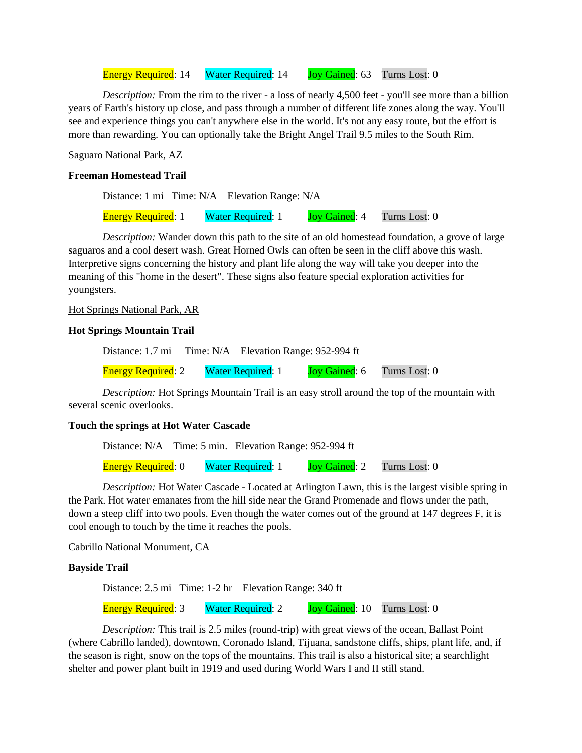Energy Required: 14 Water Required: 14 Joy Gained: 63 Turns Lost: 0

*Description:* From the rim to the river - a loss of nearly 4,500 feet - you'll see more than a billion years of Earth's history up close, and pass through a number of different life zones along the way. You'll see and experience things you can't anywhere else in the world. It's not any easy route, but the effort is more than rewarding. You can optionally take the Bright Angel Trail 9.5 miles to the South Rim.

Saguaro National Park, AZ

## **Freeman Homestead Trail**

Distance: 1 mi Time: N/A Elevation Range: N/A Energy Required: 1 Water Required: 1 Joy Gained: 4 Turns Lost: 0

*Description:* Wander down this path to the site of an old homestead foundation, a grove of large saguaros and a cool desert wash. Great Horned Owls can often be seen in the cliff above this wash. Interpretive signs concerning the history and plant life along the way will take you deeper into the meaning of this "home in the desert". These signs also feature special exploration activities for youngsters.

#### Hot Springs National Park, AR

#### **Hot Springs Mountain Trail**

Distance: 1.7 mi Time: N/A Elevation Range: 952-994 ft

Energy Required: 2 Water Required: 1 Joy Gained: 6 Turns Lost: 0

*Description:* Hot Springs Mountain Trail is an easy stroll around the top of the mountain with several scenic overlooks.

#### **Touch the springs at Hot Water Cascade**

Distance: N/A Time: 5 min. Elevation Range: 952-994 ft

Energy Required: 0 Water Required: 1 Joy Gained: 2 Turns Lost: 0

*Description:* Hot Water Cascade - Located at Arlington Lawn, this is the largest visible spring in the Park. Hot water emanates from the hill side near the Grand Promenade and flows under the path, down a steep cliff into two pools. Even though the water comes out of the ground at 147 degrees F, it is cool enough to touch by the time it reaches the pools.

Cabrillo National Monument, CA

## **Bayside Trail**

Distance: 2.5 mi Time: 1-2 hr Elevation Range: 340 ft

Energy Required: 3 Water Required: 2 Joy Gained: 10 Turns Lost: 0

*Description:* This trail is 2.5 miles (round-trip) with great views of the ocean, Ballast Point (where Cabrillo landed), downtown, Coronado Island, Tijuana, sandstone cliffs, ships, plant life, and, if the season is right, snow on the tops of the mountains. This trail is also a historical site; a searchlight shelter and power plant built in 1919 and used during World Wars I and II still stand.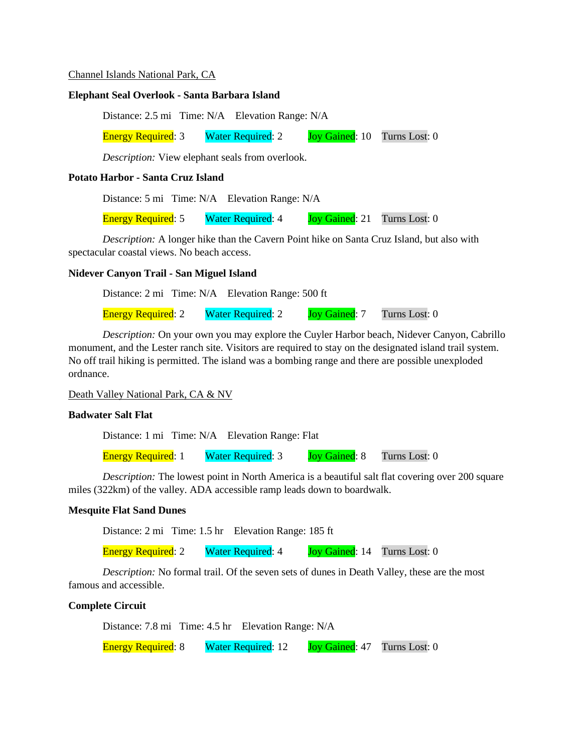#### Channel Islands National Park, CA

#### **Elephant Seal Overlook - Santa Barbara Island**

Distance: 2.5 mi Time: N/A Elevation Range: N/A

Energy Required: 3 Water Required: 2 Joy Gained: 10 Turns Lost: 0

*Description:* View elephant seals from overlook.

## **Potato Harbor - Santa Cruz Island**

Distance: 5 mi Time: N/A Elevation Range: N/A

Energy Required: 5 Water Required: 4 Joy Gained: 21 Turns Lost: 0

*Description:* A longer hike than the Cavern Point hike on Santa Cruz Island, but also with spectacular coastal views. No beach access.

#### **Nidever Canyon Trail - San Miguel Island**

Distance: 2 mi Time: N/A Elevation Range: 500 ft Energy Required: 2 Water Required: 2 Joy Gained: 7 Turns Lost: 0

*Description:* On your own you may explore the Cuyler Harbor beach, Nidever Canyon, Cabrillo monument, and the Lester ranch site. Visitors are required to stay on the designated island trail system. No off trail hiking is permitted. The island was a bombing range and there are possible unexploded ordnance.

Death Valley National Park, CA & NV

## **Badwater Salt Flat**

Distance: 1 mi Time: N/A Elevation Range: Flat

Energy Required: 1 Water Required: 3 Joy Gained: 8 Turns Lost: 0

*Description:* The lowest point in North America is a beautiful salt flat covering over 200 square miles (322km) of the valley. ADA accessible ramp leads down to boardwalk.

## **Mesquite Flat Sand Dunes**

Distance: 2 mi Time: 1.5 hr Elevation Range: 185 ft

Energy Required: 2 Water Required: 4 Joy Gained: 14 Turns Lost: 0

*Description:* No formal trail. Of the seven sets of dunes in Death Valley, these are the most famous and accessible.

#### **Complete Circuit**

Distance: 7.8 mi Time: 4.5 hr Elevation Range: N/A

Energy Required: 8 Water Required: 12 Joy Gained: 47 Turns Lost: 0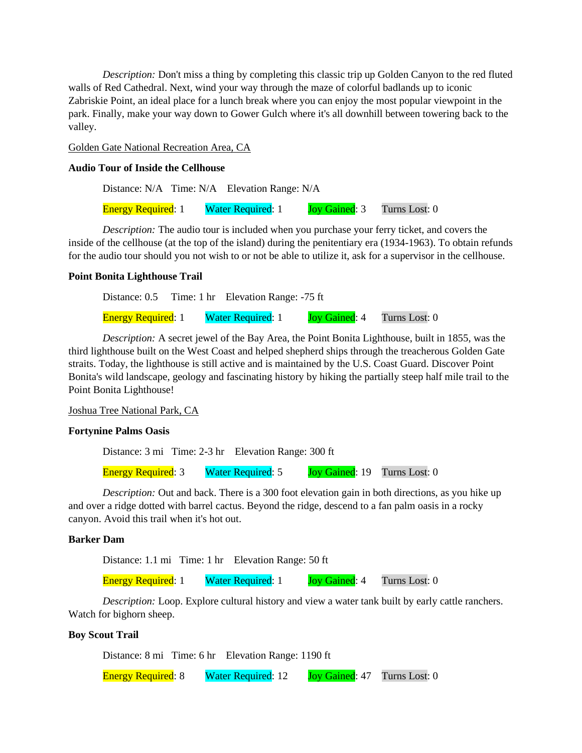*Description:* Don't miss a thing by completing this classic trip up Golden Canyon to the red fluted walls of Red Cathedral. Next, wind your way through the maze of colorful badlands up to iconic Zabriskie Point, an ideal place for a lunch break where you can enjoy the most popular viewpoint in the park. Finally, make your way down to Gower Gulch where it's all downhill between towering back to the valley.

## Golden Gate National Recreation Area, CA

## **Audio Tour of Inside the Cellhouse**

Distance: N/A Time: N/A Elevation Range: N/A Energy Required: 1 Water Required: 1 Joy Gained: 3 Turns Lost: 0

*Description:* The audio tour is included when you purchase your ferry ticket, and covers the inside of the cellhouse (at the top of the island) during the penitentiary era (1934-1963). To obtain refunds for the audio tour should you not wish to or not be able to utilize it, ask for a supervisor in the cellhouse.

#### **Point Bonita Lighthouse Trail**

|                           | Distance: 0.5 Time: 1 hr Elevation Range: -75 ft |  |                                    |
|---------------------------|--------------------------------------------------|--|------------------------------------|
| <b>Energy Required: 1</b> | <b>Water Required: 1</b>                         |  | <b>Joy Gained:</b> 4 Turns Lost: 0 |

*Description:* A secret jewel of the Bay Area, the Point Bonita Lighthouse, built in 1855, was the third lighthouse built on the West Coast and helped shepherd ships through the treacherous Golden Gate straits. Today, the lighthouse is still active and is maintained by the U.S. Coast Guard. Discover Point Bonita's wild landscape, geology and fascinating history by hiking the partially steep half mile trail to the Point Bonita Lighthouse!

Joshua Tree National Park, CA

## **Fortynine Palms Oasis**

Distance: 3 mi Time: 2-3 hr Elevation Range: 300 ft Energy Required: 3 Water Required: 5 Joy Gained: 19 Turns Lost: 0

*Description:* Out and back. There is a 300 foot elevation gain in both directions, as you hike up and over a ridge dotted with barrel cactus. Beyond the ridge, descend to a fan palm oasis in a rocky canyon. Avoid this trail when it's hot out.

#### **Barker Dam**

Distance: 1.1 mi Time: 1 hr Elevation Range: 50 ft

Energy Required: 1 Water Required: 1 Joy Gained: 4 Turns Lost: 0

*Description:* Loop. Explore cultural history and view a water tank built by early cattle ranchers. Watch for bighorn sheep.

#### **Boy Scout Trail**

Distance: 8 mi Time: 6 hr Elevation Range: 1190 ft Energy Required: 8 Water Required: 12 Joy Gained: 47 Turns Lost: 0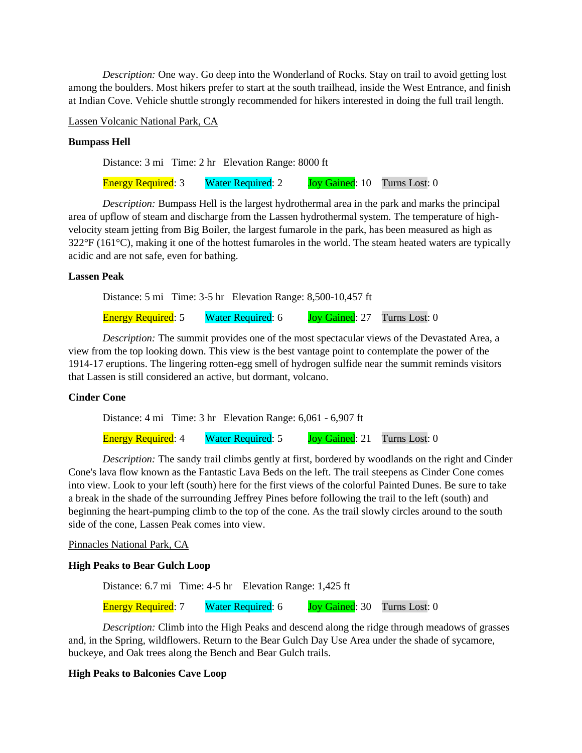*Description:* One way. Go deep into the Wonderland of Rocks. Stay on trail to avoid getting lost among the boulders. Most hikers prefer to start at the south trailhead, inside the West Entrance, and finish at Indian Cove. Vehicle shuttle strongly recommended for hikers interested in doing the full trail length.

Lassen Volcanic National Park, CA

#### **Bumpass Hell**

Distance: 3 mi Time: 2 hr Elevation Range: 8000 ft

Energy Required: 3 Water Required: 2 Joy Gained: 10 Turns Lost: 0

*Description:* Bumpass Hell is the largest hydrothermal area in the park and marks the principal area of upflow of steam and discharge from the Lassen hydrothermal system. The temperature of highvelocity steam jetting from Big Boiler, the largest fumarole in the park, has been measured as high as  $322^{\circ}F (161^{\circ}C)$ , making it one of the hottest fumaroles in the world. The steam heated waters are typically acidic and are not safe, even for bathing.

#### **Lassen Peak**

Distance: 5 mi Time: 3-5 hr Elevation Range: 8,500-10,457 ft

Energy Required: 5 Water Required: 6 Joy Gained: 27 Turns Lost: 0

*Description:* The summit provides one of the most spectacular views of the Devastated Area, a view from the top looking down. This view is the best vantage point to contemplate the power of the 1914-17 eruptions. The lingering rotten-egg smell of hydrogen sulfide near the summit reminds visitors that Lassen is still considered an active, but dormant, volcano.

## **Cinder Cone**

Distance: 4 mi Time: 3 hr Elevation Range: 6,061 - 6,907 ft

Energy Required: 4 Water Required: 5 Joy Gained: 21 Turns Lost: 0

*Description:* The sandy trail climbs gently at first, bordered by woodlands on the right and Cinder Cone's lava flow known as the Fantastic Lava Beds on the left. The trail steepens as Cinder Cone comes into view. Look to your left (south) here for the first views of the colorful Painted Dunes. Be sure to take a break in the shade of the surrounding Jeffrey Pines before following the trail to the left (south) and beginning the heart-pumping climb to the top of the cone. As the trail slowly circles around to the south side of the cone, Lassen Peak comes into view.

## Pinnacles National Park, CA

#### **High Peaks to Bear Gulch Loop**

Distance: 6.7 mi Time: 4-5 hr Elevation Range: 1,425 ft

Energy Required: 7 Water Required: 6 Joy Gained: 30 Turns Lost: 0

*Description:* Climb into the High Peaks and descend along the ridge through meadows of grasses and, in the Spring, wildflowers. Return to the Bear Gulch Day Use Area under the shade of sycamore, buckeye, and Oak trees along the Bench and Bear Gulch trails.

## **High Peaks to Balconies Cave Loop**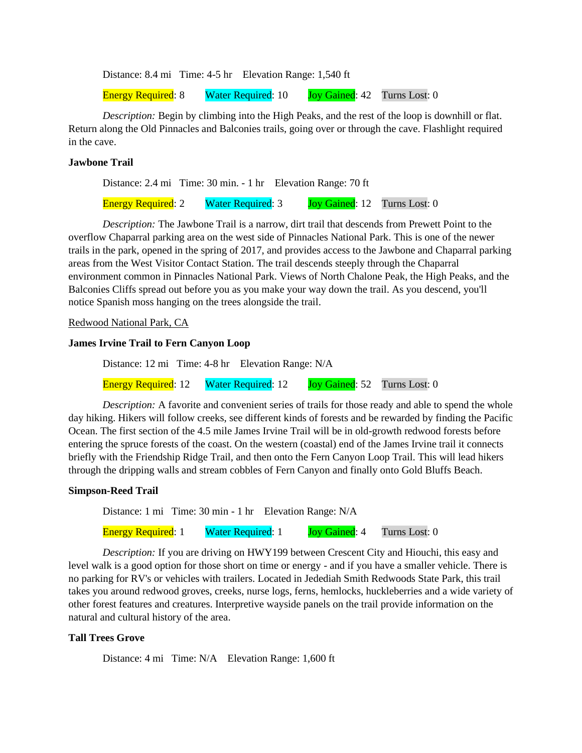Distance: 8.4 mi Time: 4-5 hr Elevation Range: 1,540 ft

Energy Required: 8 Water Required: 10 Joy Gained: 42 Turns Lost: 0

*Description:* Begin by climbing into the High Peaks, and the rest of the loop is downhill or flat. Return along the Old Pinnacles and Balconies trails, going over or through the cave. Flashlight required in the cave.

## **Jawbone Trail**

Distance: 2.4 mi Time: 30 min. - 1 hr Elevation Range: 70 ft

Energy Required: 2 Water Required: 3 Joy Gained: 12 Turns Lost: 0

*Description:* The Jawbone Trail is a narrow, dirt trail that descends from Prewett Point to the overflow Chaparral parking area on the west side of Pinnacles National Park. This is one of the newer trails in the park, opened in the spring of 2017, and provides access to the Jawbone and Chaparral parking areas from the West Visitor Contact Station. The trail descends steeply through the Chaparral environment common in Pinnacles National Park. Views of North Chalone Peak, the High Peaks, and the Balconies Cliffs spread out before you as you make your way down the trail. As you descend, you'll notice Spanish moss hanging on the trees alongside the trail.

## Redwood National Park, CA

## **James Irvine Trail to Fern Canyon Loop**

Distance: 12 mi Time: 4-8 hr Elevation Range: N/A

Energy Required: 12 Water Required: 12 Joy Gained: 52 Turns Lost: 0

*Description:* A favorite and convenient series of trails for those ready and able to spend the whole day hiking. Hikers will follow creeks, see different kinds of forests and be rewarded by finding the Pacific Ocean. The first section of the 4.5 mile James Irvine Trail will be in old-growth redwood forests before entering the spruce forests of the coast. On the western (coastal) end of the James Irvine trail it connects briefly with the Friendship Ridge Trail, and then onto the Fern Canyon Loop Trail. This will lead hikers through the dripping walls and stream cobbles of Fern Canyon and finally onto Gold Bluffs Beach.

## **Simpson-Reed Trail**

Distance: 1 mi Time: 30 min - 1 hr Elevation Range: N/A

Energy Required: 1 Water Required: 1 Joy Gained: 4 Turns Lost: 0

*Description:* If you are driving on HWY199 between Crescent City and Hiouchi, this easy and level walk is a good option for those short on time or energy - and if you have a smaller vehicle. There is no parking for RV's or vehicles with trailers. Located in Jedediah Smith Redwoods State Park, this trail takes you around redwood groves, creeks, nurse logs, ferns, hemlocks, huckleberries and a wide variety of other forest features and creatures. Interpretive wayside panels on the trail provide information on the natural and cultural history of the area.

## **Tall Trees Grove**

Distance: 4 mi Time: N/A Elevation Range: 1,600 ft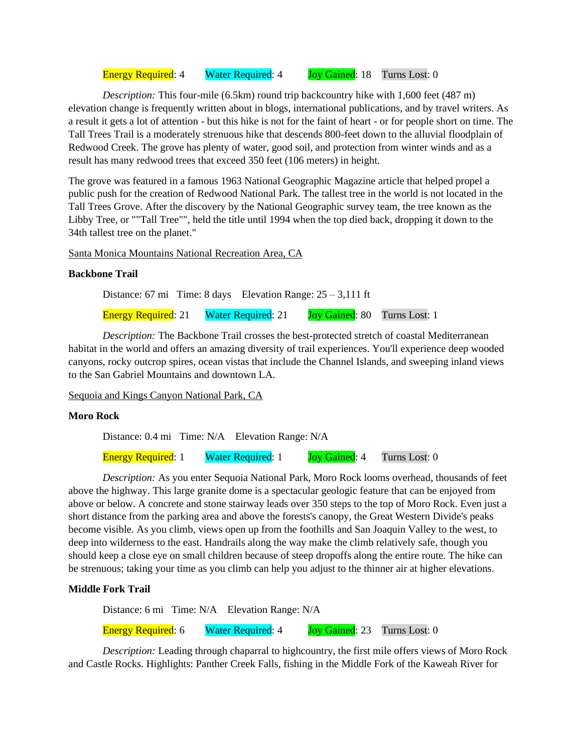Energy Required: 4 Water Required: 4 Joy Gained: 18 Turns Lost: 0

*Description:* This four-mile (6.5km) round trip backcountry hike with 1,600 feet (487 m) elevation change is frequently written about in blogs, international publications, and by travel writers. As a result it gets a lot of attention - but this hike is not for the faint of heart - or for people short on time. The Tall Trees Trail is a moderately strenuous hike that descends 800-feet down to the alluvial floodplain of Redwood Creek. The grove has plenty of water, good soil, and protection from winter winds and as a result has many redwood trees that exceed 350 feet (106 meters) in height.

The grove was featured in a famous 1963 National Geographic Magazine article that helped propel a public push for the creation of Redwood National Park. The tallest tree in the world is not located in the Tall Trees Grove. After the discovery by the National Geographic survey team, the tree known as the Libby Tree, or ""Tall Tree"", held the title until 1994 when the top died back, dropping it down to the 34th tallest tree on the planet."

Santa Monica Mountains National Recreation Area, CA

## **Backbone Trail**

Distance: 67 mi Time: 8 days Elevation Range: 25 – 3,111 ft Energy Required: 21 Water Required: 21 Joy Gained: 80 Turns Lost: 1

*Description:* The Backbone Trail crosses the best-protected stretch of coastal Mediterranean habitat in the world and offers an amazing diversity of trail experiences. You'll experience deep wooded canyons, rocky outcrop spires, ocean vistas that include the Channel Islands, and sweeping inland views to the San Gabriel Mountains and downtown LA.

Sequoia and Kings Canyon National Park, CA

## **Moro Rock**

Distance: 0.4 mi Time: N/A Elevation Range: N/A

Energy Required: 1 Water Required: 1 Joy Gained: 4 Turns Lost: 0

*Description:* As you enter Sequoia National Park, Moro Rock looms overhead, thousands of feet above the highway. This large granite dome is a spectacular geologic feature that can be enjoyed from above or below. A concrete and stone stairway leads over 350 steps to the top of Moro Rock. Even just a short distance from the parking area and above the forests's canopy, the Great Western Divide's peaks become visible. As you climb, views open up from the foothills and San Joaquin Valley to the west, to deep into wilderness to the east. Handrails along the way make the climb relatively safe, though you should keep a close eye on small children because of steep dropoffs along the entire route. The hike can be strenuous; taking your time as you climb can help you adjust to the thinner air at higher elevations.

## **Middle Fork Trail**

Distance: 6 mi Time: N/A Elevation Range: N/A

Energy Required: 6 Water Required: 4 Joy Gained: 23 Turns Lost: 0

*Description:* Leading through chaparral to highcountry, the first mile offers views of Moro Rock and Castle Rocks. Highlights: Panther Creek Falls, fishing in the Middle Fork of the Kaweah River for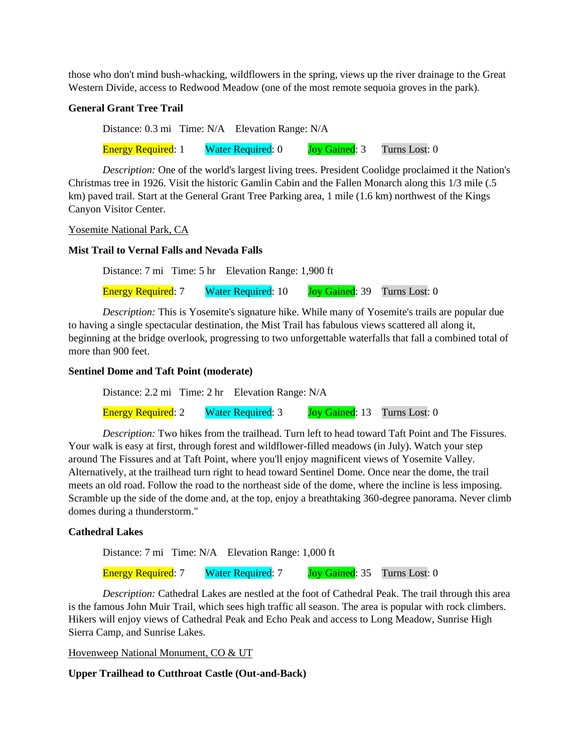those who don't mind bush-whacking, wildflowers in the spring, views up the river drainage to the Great Western Divide, access to Redwood Meadow (one of the most remote sequoia groves in the park).

## **General Grant Tree Trail**

Distance: 0.3 mi Time: N/A Elevation Range: N/A

Energy Required: 1 Water Required: 0 Joy Gained: 3 Turns Lost: 0

*Description:* One of the world's largest living trees. President Coolidge proclaimed it the Nation's Christmas tree in 1926. Visit the historic Gamlin Cabin and the Fallen Monarch along this 1/3 mile (.5 km) paved trail. Start at the General Grant Tree Parking area, 1 mile (1.6 km) northwest of the Kings Canyon Visitor Center.

Yosemite National Park, CA

## **Mist Trail to Vernal Falls and Nevada Falls**

Distance: 7 mi Time: 5 hr Elevation Range: 1,900 ft

Energy Required: 7 Water Required: 10 Joy Gained: 39 Turns Lost: 0

*Description:* This is Yosemite's signature hike. While many of Yosemite's trails are popular due to having a single spectacular destination, the Mist Trail has fabulous views scattered all along it, beginning at the bridge overlook, progressing to two unforgettable waterfalls that fall a combined total of more than 900 feet.

## **Sentinel Dome and Taft Point (moderate)**

Distance: 2.2 mi Time: 2 hr Elevation Range: N/A

Energy Required: 2 Water Required: 3 Joy Gained: 13 Turns Lost: 0

*Description:* Two hikes from the trailhead. Turn left to head toward Taft Point and The Fissures. Your walk is easy at first, through forest and wildflower-filled meadows (in July). Watch your step around The Fissures and at Taft Point, where you'll enjoy magnificent views of Yosemite Valley. Alternatively, at the trailhead turn right to head toward Sentinel Dome. Once near the dome, the trail meets an old road. Follow the road to the northeast side of the dome, where the incline is less imposing. Scramble up the side of the dome and, at the top, enjoy a breathtaking 360-degree panorama. Never climb domes during a thunderstorm."

## **Cathedral Lakes**

Distance: 7 mi Time: N/A Elevation Range: 1,000 ft

Energy Required: 7 Water Required: 7 Joy Gained: 35 Turns Lost: 0

*Description:* Cathedral Lakes are nestled at the foot of Cathedral Peak. The trail through this area is the famous John Muir Trail, which sees high traffic all season. The area is popular with rock climbers. Hikers will enjoy views of Cathedral Peak and Echo Peak and access to Long Meadow, Sunrise High Sierra Camp, and Sunrise Lakes.

Hovenweep National Monument, CO & UT

**Upper Trailhead to Cutthroat Castle (Out-and-Back)**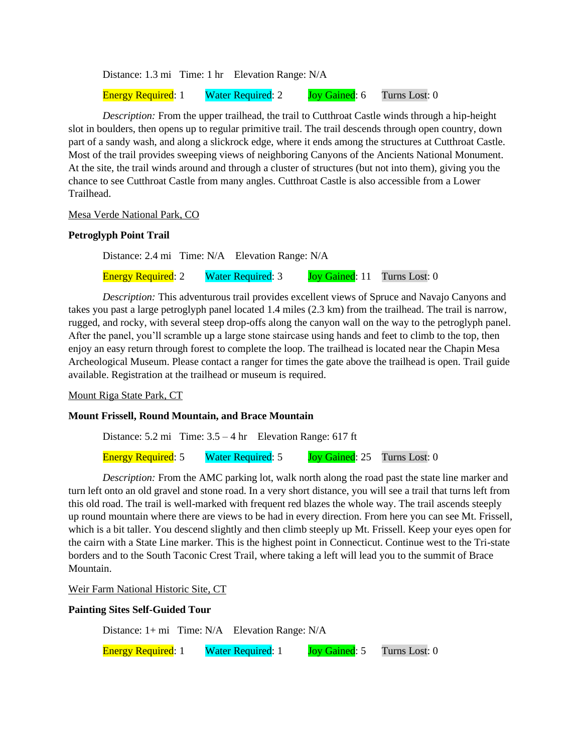Distance: 1.3 mi Time: 1 hr Elevation Range: N/A Energy Required: 1 Water Required: 2 Joy Gained: 6 Turns Lost: 0

*Description:* From the upper trailhead, the trail to Cutthroat Castle winds through a hip-height slot in boulders, then opens up to regular primitive trail. The trail descends through open country, down part of a sandy wash, and along a slickrock edge, where it ends among the structures at Cutthroat Castle. Most of the trail provides sweeping views of neighboring Canyons of the Ancients National Monument. At the site, the trail winds around and through a cluster of structures (but not into them), giving you the

chance to see Cutthroat Castle from many angles. Cutthroat Castle is also accessible from a Lower

Mesa Verde National Park, CO

#### **Petroglyph Point Trail**

Trailhead.

Distance: 2.4 mi Time: N/A Elevation Range: N/A

Energy Required: 2 Water Required: 3 Joy Gained: 11 Turns Lost: 0

*Description:* This adventurous trail provides excellent views of Spruce and Navajo Canyons and takes you past a large petroglyph panel located 1.4 miles (2.3 km) from the trailhead. The trail is narrow, rugged, and rocky, with several steep drop-offs along the canyon wall on the way to the petroglyph panel. After the panel, you'll scramble up a large stone staircase using hands and feet to climb to the top, then enjoy an easy return through forest to complete the loop. The trailhead is located near the Chapin Mesa Archeological Museum. Please contact a ranger for times the gate above the trailhead is open. Trail guide available. Registration at the trailhead or museum is required.

Mount Riga State Park, CT

#### **Mount Frissell, Round Mountain, and Brace Mountain**

Distance: 5.2 mi Time: 3.5 – 4 hr Elevation Range: 617 ft

Energy Required: 5 Water Required: 5 Joy Gained: 25 Turns Lost: 0

*Description:* From the AMC parking lot, walk north along the road past the state line marker and turn left onto an old gravel and stone road. In a very short distance, you will see a trail that turns left from this old road. The trail is well-marked with frequent red blazes the whole way. The trail ascends steeply up round mountain where there are views to be had in every direction. From here you can see Mt. Frissell, which is a bit taller. You descend slightly and then climb steeply up Mt. Frissell. Keep your eyes open for the cairn with a State Line marker. This is the highest point in Connecticut. Continue west to the Tri-state borders and to the South Taconic Crest Trail, where taking a left will lead you to the summit of Brace Mountain.

Weir Farm National Historic Site, CT

#### **Painting Sites Self-Guided Tour**

Distance: 1+ mi Time: N/A Elevation Range: N/A

Energy Required: 1 Water Required: 1 Joy Gained: 5 Turns Lost: 0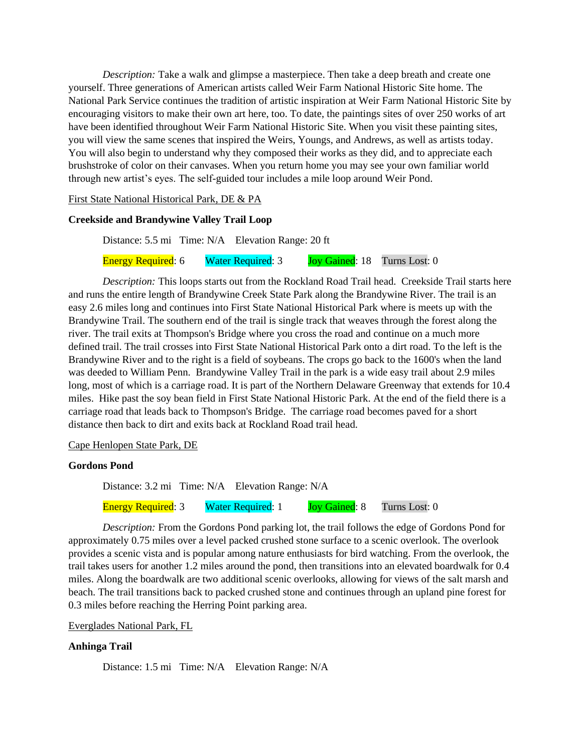*Description:* Take a walk and glimpse a masterpiece. Then take a deep breath and create one yourself. Three generations of American artists called Weir Farm National Historic Site home. The National Park Service continues the tradition of artistic inspiration at Weir Farm National Historic Site by encouraging visitors to make their own art here, too. To date, the paintings sites of over 250 works of art have been identified throughout Weir Farm National Historic Site. When you visit these painting sites, you will view the same scenes that inspired the Weirs, Youngs, and Andrews, as well as artists today. You will also begin to understand why they composed their works as they did, and to appreciate each brushstroke of color on their canvases. When you return home you may see your own familiar world through new artist's eyes. The self-guided tour includes a mile loop around Weir Pond.

First State National Historical Park, DE & PA

## **Creekside and Brandywine Valley Trail Loop**

Distance: 5.5 mi Time: N/A Elevation Range: 20 ft Energy Required: 6 Water Required: 3 Joy Gained: 18 Turns Lost: 0

*Description:* This loops starts out from the Rockland Road Trail head. Creekside Trail starts here and runs the entire length of Brandywine Creek State Park along the Brandywine River. The trail is an easy 2.6 miles long and continues into First State National Historical Park where is meets up with the Brandywine Trail. The southern end of the trail is single track that weaves through the forest along the river. The trail exits at Thompson's Bridge where you cross the road and continue on a much more defined trail. The trail crosses into First State National Historical Park onto a dirt road. To the left is the Brandywine River and to the right is a field of soybeans. The crops go back to the 1600's when the land was deeded to William Penn. Brandywine Valley Trail in the park is a wide easy trail about 2.9 miles long, most of which is a carriage road. It is part of the Northern Delaware Greenway that extends for 10.4 miles. Hike past the soy bean field in First State National Historic Park. At the end of the field there is a carriage road that leads back to Thompson's Bridge. The carriage road becomes paved for a short distance then back to dirt and exits back at Rockland Road trail head.

#### Cape Henlopen State Park, DE

## **Gordons Pond**

Distance: 3.2 mi Time: N/A Elevation Range: N/A

Energy Required: 3 Water Required: 1 Joy Gained: 8 Turns Lost: 0

*Description:* From the Gordons Pond parking lot, the trail follows the edge of Gordons Pond for approximately 0.75 miles over a level packed crushed stone surface to a scenic overlook. The overlook provides a scenic vista and is popular among nature enthusiasts for bird watching. From the overlook, the trail takes users for another 1.2 miles around the pond, then transitions into an elevated boardwalk for 0.4 miles. Along the boardwalk are two additional scenic overlooks, allowing for views of the salt marsh and beach. The trail transitions back to packed crushed stone and continues through an upland pine forest for 0.3 miles before reaching the Herring Point parking area.

#### Everglades National Park, FL

## **Anhinga Trail**

Distance: 1.5 mi Time: N/A Elevation Range: N/A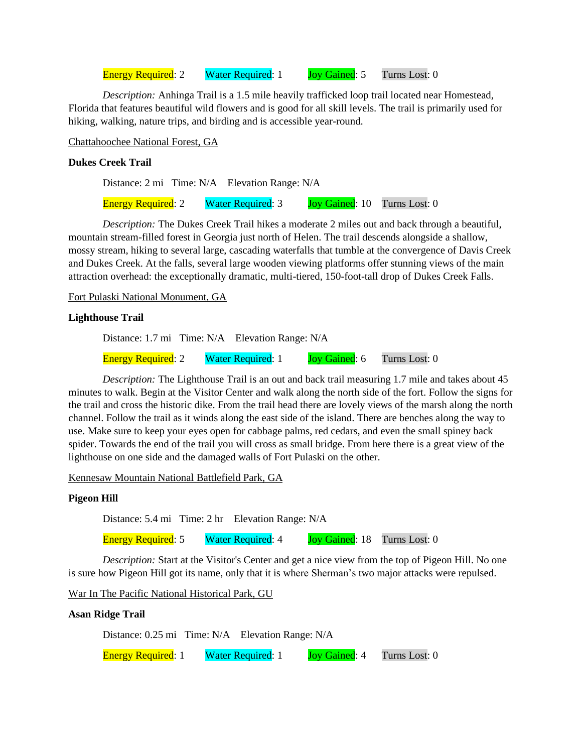Energy Required: 2 Water Required: 1 Joy Gained: 5 Turns Lost: 0

*Description:* Anhinga Trail is a 1.5 mile heavily trafficked loop trail located near Homestead, Florida that features beautiful wild flowers and is good for all skill levels. The trail is primarily used for hiking, walking, nature trips, and birding and is accessible year-round.

Chattahoochee National Forest, GA

## **Dukes Creek Trail**

Distance: 2 mi Time: N/A Elevation Range: N/A Energy Required: 2 Water Required: 3 Joy Gained: 10 Turns Lost: 0

*Description:* The Dukes Creek Trail hikes a moderate 2 miles out and back through a beautiful, mountain stream-filled forest in Georgia just north of Helen. The trail descends alongside a shallow, mossy stream, hiking to several large, cascading waterfalls that tumble at the convergence of Davis Creek and Dukes Creek. At the falls, several large wooden viewing platforms offer stunning views of the main attraction overhead: the exceptionally dramatic, multi-tiered, 150-foot-tall drop of Dukes Creek Falls.

Fort Pulaski National Monument, GA

## **Lighthouse Trail**

Distance: 1.7 mi Time: N/A Elevation Range: N/A Energy Required: 2 Water Required: 1 Joy Gained: 6 Turns Lost: 0

*Description:* The Lighthouse Trail is an out and back trail measuring 1.7 mile and takes about 45 minutes to walk. Begin at the Visitor Center and walk along the north side of the fort. Follow the signs for the trail and cross the historic dike. From the trail head there are lovely views of the marsh along the north channel. Follow the trail as it winds along the east side of the island. There are benches along the way to use. Make sure to keep your eyes open for cabbage palms, red cedars, and even the small spiney back spider. Towards the end of the trail you will cross as small bridge. From here there is a great view of the lighthouse on one side and the damaged walls of Fort Pulaski on the other.

Kennesaw Mountain National Battlefield Park, GA

## **Pigeon Hill**

Distance: 5.4 mi Time: 2 hr Elevation Range: N/A

Energy Required: 5 Water Required: 4 Joy Gained: 18 Turns Lost: 0

*Description:* Start at the Visitor's Center and get a nice view from the top of Pigeon Hill. No one is sure how Pigeon Hill got its name, only that it is where Sherman's two major attacks were repulsed.

War In The Pacific National Historical Park, GU

## **Asan Ridge Trail**

Distance: 0.25 mi Time: N/A Elevation Range: N/A

Energy Required: 1 Water Required: 1 Joy Gained: 4 Turns Lost: 0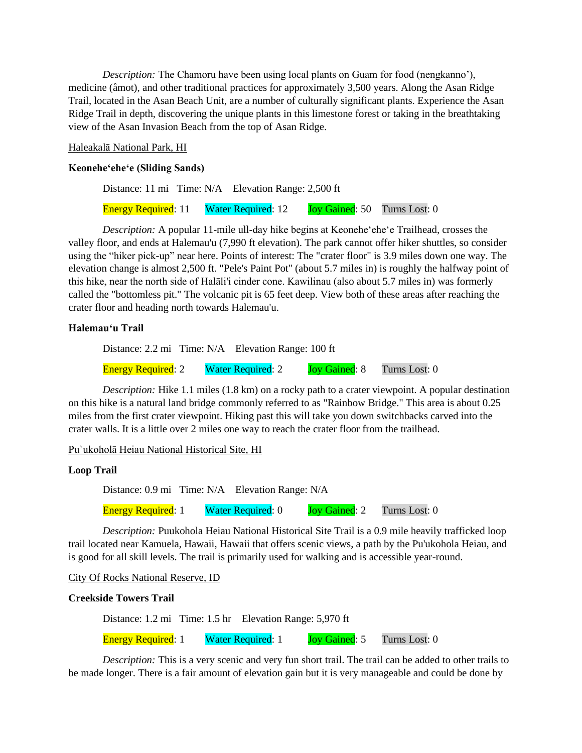*Description:* The Chamoru have been using local plants on Guam for food (nengkanno'), medicine (åmot), and other traditional practices for approximately 3,500 years. Along the Asan Ridge Trail, located in the Asan Beach Unit, are a number of culturally significant plants. Experience the Asan Ridge Trail in depth, discovering the unique plants in this limestone forest or taking in the breathtaking view of the Asan Invasion Beach from the top of Asan Ridge.

## Haleakalā National Park, HI

#### **Keonehe'ehe'e (Sliding Sands)**

Distance: 11 mi Time: N/A Elevation Range: 2,500 ft

Energy Required: 11 Water Required: 12 Joy Gained: 50 Turns Lost: 0

*Description:* A popular 11-mile ull-day hike begins at Keonehe'ehe'e Trailhead, crosses the valley floor, and ends at Halemau'u (7,990 ft elevation). The park cannot offer hiker shuttles, so consider using the "hiker pick-up" near here. Points of interest: The "crater floor" is 3.9 miles down one way. The elevation change is almost 2,500 ft. "Pele's Paint Pot" (about 5.7 miles in) is roughly the halfway point of this hike, near the north side of Halāli'i cinder cone. Kawilinau (also about 5.7 miles in) was formerly called the "bottomless pit." The volcanic pit is 65 feet deep. View both of these areas after reaching the crater floor and heading north towards Halemau'u.

## **Halemau'u Trail**

Distance: 2.2 mi Time: N/A Elevation Range: 100 ft

Energy Required: 2 Water Required: 2 Joy Gained: 8 Turns Lost: 0

*Description:* Hike 1.1 miles (1.8 km) on a rocky path to a crater viewpoint. A popular destination on this hike is a natural land bridge commonly referred to as "Rainbow Bridge." This area is about 0.25 miles from the first crater viewpoint. Hiking past this will take you down switchbacks carved into the crater walls. It is a little over 2 miles one way to reach the crater floor from the trailhead.

#### Pu`ukoholā Heiau National Historical Site, HI

## **Loop Trail**

Distance: 0.9 mi Time: N/A Elevation Range: N/A

Energy Required: 1 Water Required: 0 Joy Gained: 2 Turns Lost: 0

*Description:* Puukohola Heiau National Historical Site Trail is a 0.9 mile heavily trafficked loop trail located near Kamuela, Hawaii, Hawaii that offers scenic views, a path by the Pu'ukohola Heiau, and is good for all skill levels. The trail is primarily used for walking and is accessible year-round.

City Of Rocks National Reserve, ID

#### **Creekside Towers Trail**

Distance: 1.2 mi Time: 1.5 hr Elevation Range: 5,970 ft

Energy Required: 1 Water Required: 1 Joy Gained: 5 Turns Lost: 0

*Description:* This is a very scenic and very fun short trail. The trail can be added to other trails to be made longer. There is a fair amount of elevation gain but it is very manageable and could be done by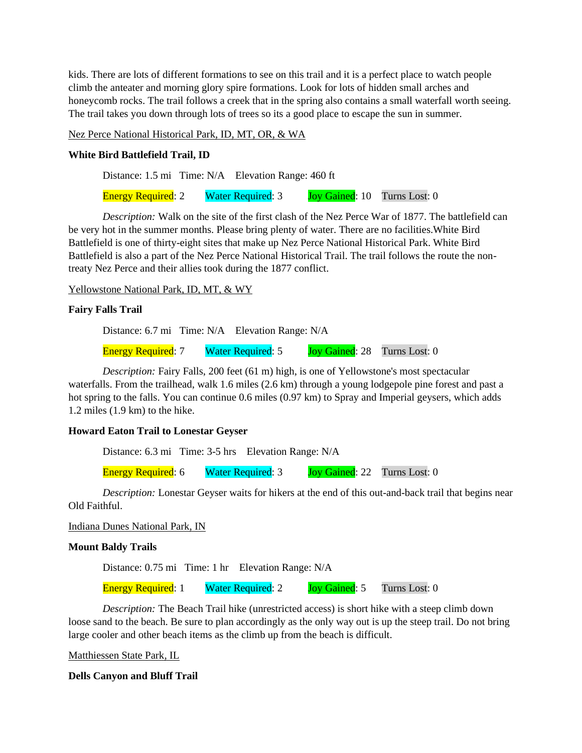kids. There are lots of different formations to see on this trail and it is a perfect place to watch people climb the anteater and morning glory spire formations. Look for lots of hidden small arches and honeycomb rocks. The trail follows a creek that in the spring also contains a small waterfall worth seeing. The trail takes you down through lots of trees so its a good place to escape the sun in summer.

Nez Perce National Historical Park, ID, MT, OR, & WA

## **White Bird Battlefield Trail, ID**

Distance: 1.5 mi Time: N/A Elevation Range: 460 ft

Energy Required: 2 Water Required: 3 Joy Gained: 10 Turns Lost: 0

*Description:* Walk on the site of the first clash of the Nez Perce War of 1877. The battlefield can be very hot in the summer months. Please bring plenty of water. There are no facilities.White Bird Battlefield is one of thirty-eight sites that make up Nez Perce National Historical Park. White Bird Battlefield is also a part of the Nez Perce National Historical Trail. The trail follows the route the nontreaty Nez Perce and their allies took during the 1877 conflict.

Yellowstone National Park, ID, MT, & WY

## **Fairy Falls Trail**

Distance: 6.7 mi Time: N/A Elevation Range: N/A

Energy Required: 7 Water Required: 5 Joy Gained: 28 Turns Lost: 0

*Description:* Fairy Falls, 200 feet (61 m) high, is one of Yellowstone's most spectacular waterfalls. From the trailhead, walk 1.6 miles (2.6 km) through a young lodgepole pine forest and past a hot spring to the falls. You can continue 0.6 miles (0.97 km) to Spray and Imperial geysers, which adds 1.2 miles (1.9 km) to the hike.

## **Howard Eaton Trail to Lonestar Geyser**

Distance: 6.3 mi Time: 3-5 hrs Elevation Range: N/A

Energy Required: 6 Water Required: 3 Joy Gained: 22 Turns Lost: 0

*Description:* Lonestar Geyser waits for hikers at the end of this out-and-back trail that begins near Old Faithful.

## Indiana Dunes National Park, IN

## **Mount Baldy Trails**

Distance: 0.75 mi Time: 1 hr Elevation Range: N/A

Energy Required: 1 Water Required: 2 Joy Gained: 5 Turns Lost: 0

*Description:* The Beach Trail hike (unrestricted access) is short hike with a steep climb down loose sand to the beach. Be sure to plan accordingly as the only way out is up the steep trail. Do not bring large cooler and other beach items as the climb up from the beach is difficult.

Matthiessen State Park, IL

**Dells Canyon and Bluff Trail**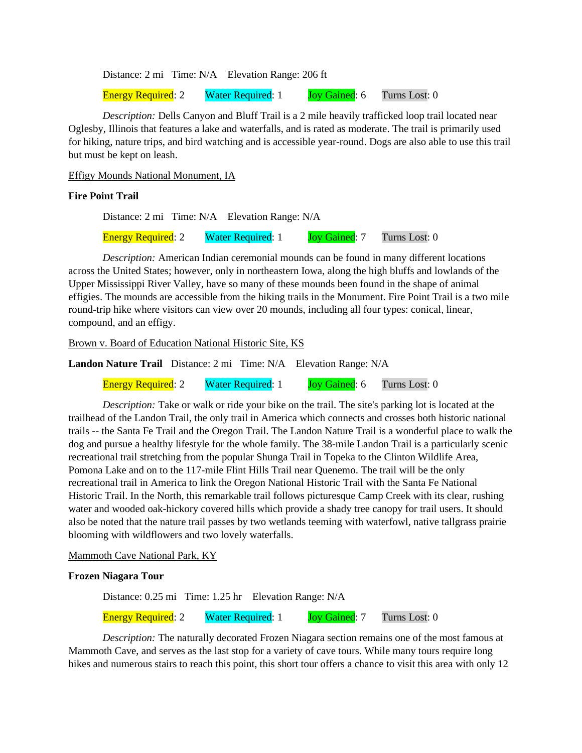Distance: 2 mi Time: N/A Elevation Range: 206 ft

Energy Required: 2 Water Required: 1 Joy Gained: 6 Turns Lost: 0

*Description:* Dells Canyon and Bluff Trail is a 2 mile heavily trafficked loop trail located near Oglesby, Illinois that features a lake and waterfalls, and is rated as moderate. The trail is primarily used for hiking, nature trips, and bird watching and is accessible year-round. Dogs are also able to use this trail but must be kept on leash.

Effigy Mounds National Monument, IA

## **Fire Point Trail**

Distance: 2 mi Time: N/A Elevation Range: N/A

Energy Required: 2 Water Required: 1 Joy Gained: 7 Turns Lost: 0

*Description:* American Indian ceremonial mounds can be found in many different locations across the United States; however, only in northeastern Iowa, along the high bluffs and lowlands of the Upper Mississippi River Valley, have so many of these mounds been found in the shape of animal effigies. The mounds are accessible from the hiking trails in the Monument. Fire Point Trail is a two mile round-trip hike where visitors can view over 20 mounds, including all four types: conical, linear, compound, and an effigy.

Brown v. Board of Education National Historic Site, KS

**Landon Nature Trail** Distance: 2 mi Time: N/A Elevation Range: N/A

Energy Required: 2 Water Required: 1 Joy Gained: 6 Turns Lost: 0

*Description:* Take or walk or ride your bike on the trail. The site's parking lot is located at the trailhead of the Landon Trail, the only trail in America which connects and crosses both historic national trails -- the Santa Fe Trail and the Oregon Trail. The Landon Nature Trail is a wonderful place to walk the dog and pursue a healthy lifestyle for the whole family. The 38-mile Landon Trail is a particularly scenic recreational trail stretching from the popular Shunga Trail in Topeka to the Clinton Wildlife Area, Pomona Lake and on to the 117-mile Flint Hills Trail near Quenemo. The trail will be the only recreational trail in America to link the Oregon National Historic Trail with the Santa Fe National Historic Trail. In the North, this remarkable trail follows picturesque Camp Creek with its clear, rushing water and wooded oak-hickory covered hills which provide a shady tree canopy for trail users. It should also be noted that the nature trail passes by two wetlands teeming with waterfowl, native tallgrass prairie blooming with wildflowers and two lovely waterfalls.

## Mammoth Cave National Park, KY

## **Frozen Niagara Tour**

Distance: 0.25 mi Time: 1.25 hr Elevation Range: N/A

Energy Required: 2 Water Required: 1 Joy Gained: 7 Turns Lost: 0

*Description:* The naturally decorated Frozen Niagara section remains one of the most famous at Mammoth Cave, and serves as the last stop for a variety of cave tours. While many tours require long hikes and numerous stairs to reach this point, this short tour offers a chance to visit this area with only 12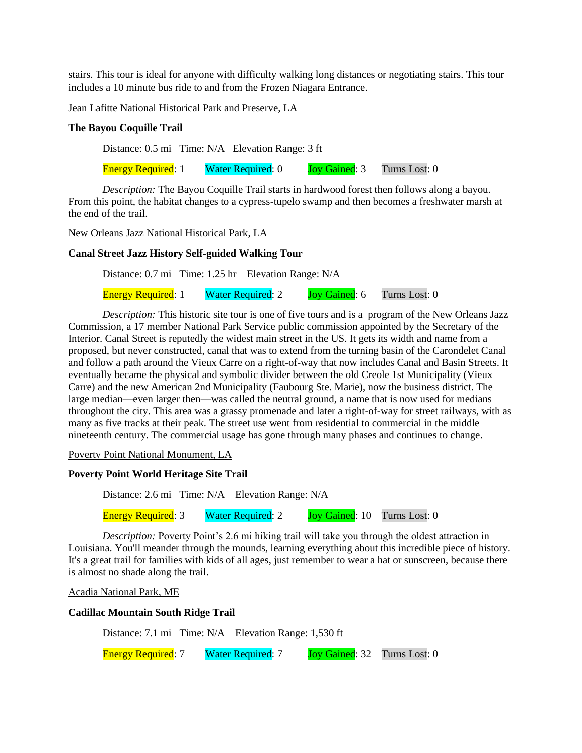stairs. This tour is ideal for anyone with difficulty walking long distances or negotiating stairs. This tour includes a 10 minute bus ride to and from the Frozen Niagara Entrance.

Jean Lafitte National Historical Park and Preserve, LA

#### **The Bayou Coquille Trail**

Distance: 0.5 mi Time: N/A Elevation Range: 3 ft

Energy Required: 1 Water Required: 0 Joy Gained: 3 Turns Lost: 0

*Description:* The Bayou Coquille Trail starts in hardwood forest then follows along a bayou. From this point, the habitat changes to a cypress-tupelo swamp and then becomes a freshwater marsh at the end of the trail.

New Orleans Jazz National Historical Park, LA

#### **Canal Street Jazz History Self-guided Walking Tour**

Distance: 0.7 mi Time: 1.25 hr Elevation Range: N/A

Energy Required: 1 Water Required: 2 Joy Gained: 6 Turns Lost: 0

*Description:* This historic site tour is one of five tours and is a program of the New Orleans Jazz Commission, a 17 member National Park Service public commission appointed by the Secretary of the Interior. Canal Street is reputedly the widest main street in the US. It gets its width and name from a proposed, but never constructed, canal that was to extend from the turning basin of the Carondelet Canal and follow a path around the Vieux Carre on a right-of-way that now includes Canal and Basin Streets. It eventually became the physical and symbolic divider between the old Creole 1st Municipality (Vieux Carre) and the new American 2nd Municipality (Faubourg Ste. Marie), now the business district. The large median—even larger then—was called the neutral ground, a name that is now used for medians throughout the city. This area was a grassy promenade and later a right-of-way for street railways, with as many as five tracks at their peak. The street use went from residential to commercial in the middle nineteenth century. The commercial usage has gone through many phases and continues to change.

Poverty Point National Monument, LA

#### **Poverty Point World Heritage Site Trail**

Distance: 2.6 mi Time: N/A Elevation Range: N/A

Energy Required: 3 Water Required: 2 Joy Gained: 10 Turns Lost: 0

*Description:* Poverty Point's 2.6 mi hiking trail will take you through the oldest attraction in Louisiana. You'll meander through the mounds, learning everything about this incredible piece of history. It's a great trail for families with kids of all ages, just remember to wear a hat or sunscreen, because there is almost no shade along the trail.

Acadia National Park, ME

## **Cadillac Mountain South Ridge Trail**

Distance: 7.1 mi Time: N/A Elevation Range: 1,530 ft

Energy Required: 7 Water Required: 7 Joy Gained: 32 Turns Lost: 0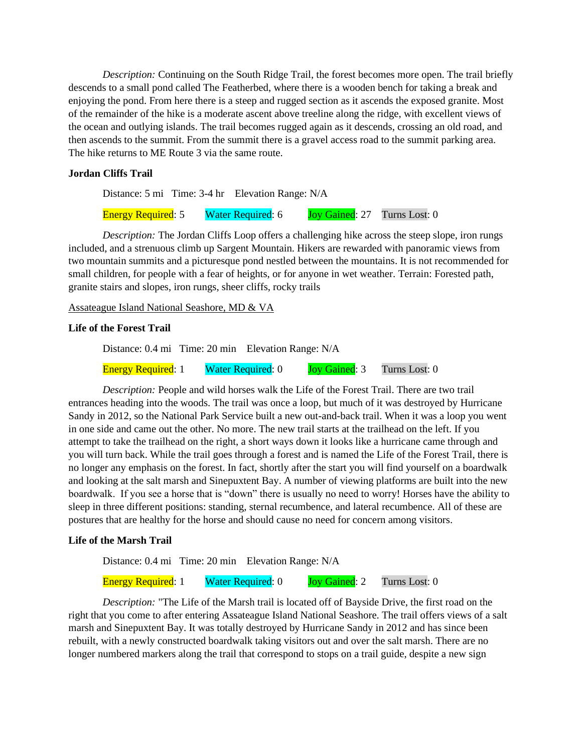*Description:* Continuing on the South Ridge Trail, the forest becomes more open. The trail briefly descends to a small pond called The Featherbed, where there is a wooden bench for taking a break and enjoying the pond. From here there is a steep and rugged section as it ascends the exposed granite. Most of the remainder of the hike is a moderate ascent above treeline along the ridge, with excellent views of the ocean and outlying islands. The trail becomes rugged again as it descends, crossing an old road, and then ascends to the summit. From the summit there is a gravel access road to the summit parking area. The hike returns to ME Route 3 via the same route.

## **Jordan Cliffs Trail**

Distance: 5 mi Time: 3-4 hr Elevation Range: N/A

Energy Required: 5 Water Required: 6 Joy Gained: 27 Turns Lost: 0

*Description:* The Jordan Cliffs Loop offers a challenging hike across the steep slope, iron rungs included, and a strenuous climb up Sargent Mountain. Hikers are rewarded with panoramic views from two mountain summits and a picturesque pond nestled between the mountains. It is not recommended for small children, for people with a fear of heights, or for anyone in wet weather. Terrain: Forested path, granite stairs and slopes, iron rungs, sheer cliffs, rocky trails

Assateague Island National Seashore, MD & VA

## **Life of the Forest Trail**

Distance: 0.4 mi Time: 20 min Elevation Range: N/A

Energy Required: 1 Water Required: 0 Joy Gained: 3 Turns Lost: 0

*Description:* People and wild horses walk the Life of the Forest Trail. There are two trail entrances heading into the woods. The trail was once a loop, but much of it was destroyed by Hurricane Sandy in 2012, so the National Park Service built a new out-and-back trail. When it was a loop you went in one side and came out the other. No more. The new trail starts at the trailhead on the left. If you attempt to take the trailhead on the right, a short ways down it looks like a hurricane came through and you will turn back. While the trail goes through a forest and is named the Life of the Forest Trail, there is no longer any emphasis on the forest. In fact, shortly after the start you will find yourself on a boardwalk and looking at the salt marsh and Sinepuxtent Bay. A number of viewing platforms are built into the new boardwalk. If you see a horse that is "down" there is usually no need to worry! Horses have the ability to sleep in three different positions: standing, sternal recumbence, and lateral recumbence. All of these are postures that are healthy for the horse and should cause no need for concern among visitors.

## **Life of the Marsh Trail**

Distance: 0.4 mi Time: 20 min Elevation Range: N/A Energy Required: 1 Water Required: 0 Joy Gained: 2 Turns Lost: 0

*Description:* "The Life of the Marsh trail is located off of Bayside Drive, the first road on the right that you come to after entering Assateague Island National Seashore. The trail offers views of a salt marsh and Sinepuxtent Bay. It was totally destroyed by Hurricane Sandy in 2012 and has since been rebuilt, with a newly constructed boardwalk taking visitors out and over the salt marsh. There are no longer numbered markers along the trail that correspond to stops on a trail guide, despite a new sign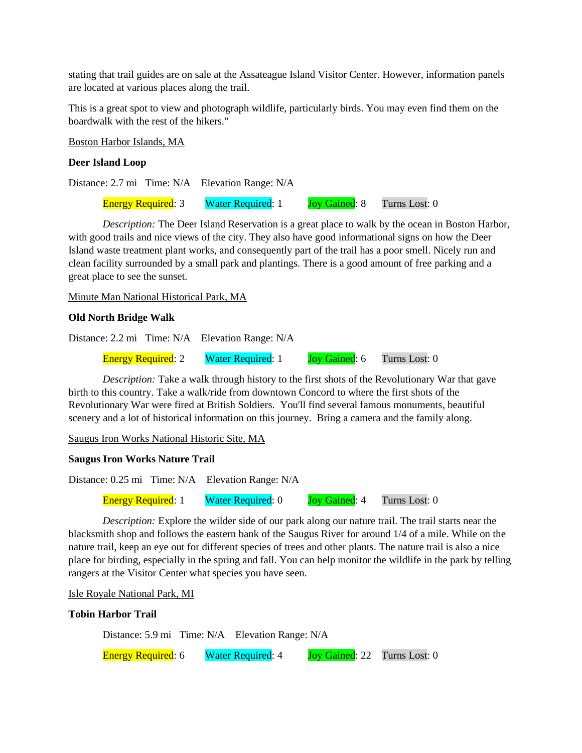stating that trail guides are on sale at the Assateague Island Visitor Center. However, information panels are located at various places along the trail.

This is a great spot to view and photograph wildlife, particularly birds. You may even find them on the boardwalk with the rest of the hikers."

Boston Harbor Islands, MA

## **Deer Island Loop**

Distance: 2.7 mi Time: N/A Elevation Range: N/A Energy Required: 3 Water Required: 1 Joy Gained: 8 Turns Lost: 0

*Description:* The Deer Island Reservation is a great place to walk by the ocean in Boston Harbor, with good trails and nice views of the city. They also have good informational signs on how the Deer Island waste treatment plant works, and consequently part of the trail has a poor smell. Nicely run and clean facility surrounded by a small park and plantings. There is a good amount of free parking and a great place to see the sunset.

Minute Man National Historical Park, MA

## **Old North Bridge Walk**

Distance: 2.2 mi Time: N/A Elevation Range: N/A

Energy Required: 2 Water Required: 1 Joy Gained: 6 Turns Lost: 0

*Description:* Take a walk through history to the first shots of the Revolutionary War that gave birth to this country. Take a walk/ride from downtown Concord to where the first shots of the Revolutionary War were fired at British Soldiers. You'll find several famous monuments, beautiful scenery and a lot of historical information on this journey. Bring a camera and the family along.

Saugus Iron Works National Historic Site, MA

## **Saugus Iron Works Nature Trail**

Distance: 0.25 mi Time: N/A Elevation Range: N/A

Energy Required: 1 Water Required: 0 Joy Gained: 4 Turns Lost: 0

*Description:* Explore the wilder side of our park along our nature trail. The trail starts near the blacksmith shop and follows the eastern bank of the Saugus River for around 1/4 of a mile. While on the nature trail, keep an eye out for different species of trees and other plants. The nature trail is also a nice place for birding, especially in the spring and fall. You can help monitor the wildlife in the park by telling rangers at the Visitor Center what species you have seen.

Isle Royale National Park, MI

## **Tobin Harbor Trail**

Distance: 5.9 mi Time: N/A Elevation Range: N/A

Energy Required: 6 Water Required: 4 Joy Gained: 22 Turns Lost: 0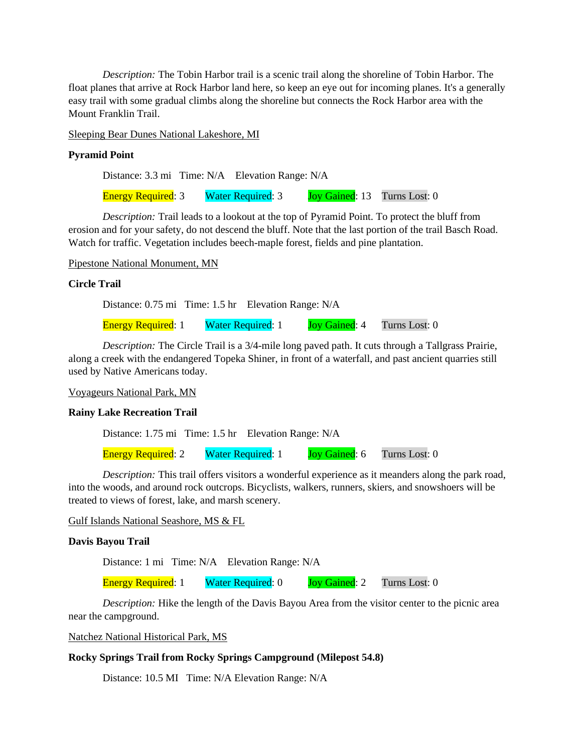*Description:* The Tobin Harbor trail is a scenic trail along the shoreline of Tobin Harbor. The float planes that arrive at Rock Harbor land here, so keep an eye out for incoming planes. It's a generally easy trail with some gradual climbs along the shoreline but connects the Rock Harbor area with the Mount Franklin Trail.

Sleeping Bear Dunes National Lakeshore, MI

## **Pyramid Point**

Distance: 3.3 mi Time: N/A Elevation Range: N/A

Energy Required: 3 Water Required: 3 Joy Gained: 13 Turns Lost: 0

*Description:* Trail leads to a lookout at the top of Pyramid Point. To protect the bluff from erosion and for your safety, do not descend the bluff. Note that the last portion of the trail Basch Road. Watch for traffic. Vegetation includes beech-maple forest, fields and pine plantation.

Pipestone National Monument, MN

#### **Circle Trail**

Distance: 0.75 mi Time: 1.5 hr Elevation Range: N/A

Energy Required: 1 Water Required: 1 Joy Gained: 4 Turns Lost: 0

*Description:* The Circle Trail is a 3/4-mile long paved path. It cuts through a Tallgrass Prairie, along a creek with the endangered Topeka Shiner, in front of a waterfall, and past ancient quarries still used by Native Americans today.

Voyageurs National Park, MN

## **Rainy Lake Recreation Trail**

Distance: 1.75 mi Time: 1.5 hr Elevation Range: N/A

Energy Required: 2 Water Required: 1 Joy Gained: 6 Turns Lost: 0

*Description:* This trail offers visitors a wonderful experience as it meanders along the park road, into the woods, and around rock outcrops. Bicyclists, walkers, runners, skiers, and snowshoers will be treated to views of forest, lake, and marsh scenery.

## Gulf Islands National Seashore, MS & FL

## **Davis Bayou Trail**

Distance: 1 mi Time: N/A Elevation Range: N/A

Energy Required: 1 Water Required: 0 Joy Gained: 2 Turns Lost: 0

*Description:* Hike the length of the Davis Bayou Area from the visitor center to the picnic area near the campground.

Natchez National Historical Park, MS

#### **Rocky Springs Trail from Rocky Springs Campground (Milepost 54.8)**

Distance: 10.5 MI Time: N/A Elevation Range: N/A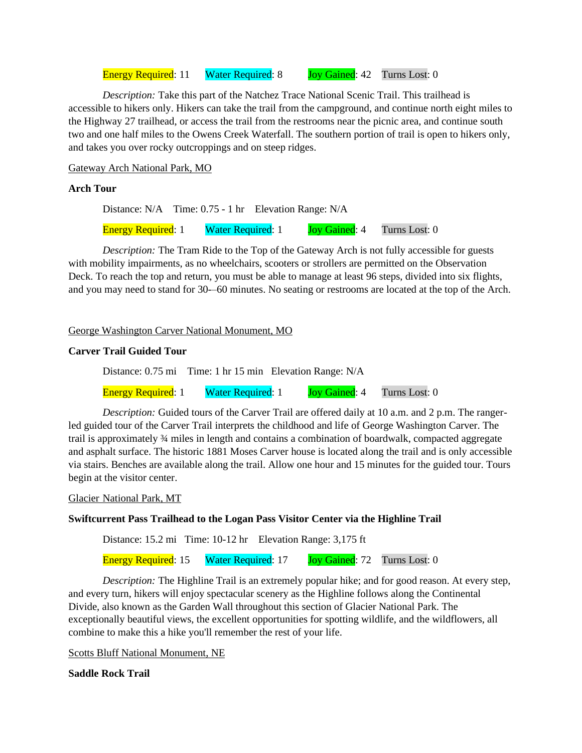Energy Required: 11 Water Required: 8 Joy Gained: 42 Turns Lost: 0

*Description:* Take this part of the Natchez Trace National Scenic Trail. This trailhead is accessible to hikers only. Hikers can take the trail from the campground, and continue north eight miles to the Highway 27 trailhead, or access the trail from the restrooms near the picnic area, and continue south two and one half miles to the Owens Creek Waterfall. The southern portion of trail is open to hikers only, and takes you over rocky outcroppings and on steep ridges.

Gateway Arch National Park, MO

## **Arch Tour**

Distance: N/A Time: 0.75 - 1 hr Elevation Range: N/A Energy Required: 1 Water Required: 1 Joy Gained: 4 Turns Lost: 0

*Description:* The Tram Ride to the Top of the Gateway Arch is not fully accessible for guests with mobility impairments, as no wheelchairs, scooters or strollers are permitted on the Observation Deck. To reach the top and return, you must be able to manage at least 96 steps, divided into six flights, and you may need to stand for 30-–60 minutes. No seating or restrooms are located at the top of the Arch.

George Washington Carver National Monument, MO

## **Carver Trail Guided Tour**

Distance: 0.75 mi Time: 1 hr 15 min Elevation Range: N/A

Energy Required: 1 Water Required: 1 Joy Gained: 4 Turns Lost: 0

*Description:* Guided tours of the Carver Trail are offered daily at 10 a.m. and 2 p.m. The rangerled guided tour of the Carver Trail interprets the childhood and life of George Washington Carver. The trail is approximately ¾ miles in length and contains a combination of boardwalk, compacted aggregate and asphalt surface. The historic 1881 Moses Carver house is located along the trail and is only accessible via stairs. Benches are available along the trail. Allow one hour and 15 minutes for the guided tour. Tours begin at the visitor center.

Glacier National Park, MT

## **Swiftcurrent Pass Trailhead to the Logan Pass Visitor Center via the Highline Trail**

Distance: 15.2 mi Time: 10-12 hr Elevation Range: 3,175 ft

Energy Required: 15 Water Required: 17 Joy Gained: 72 Turns Lost: 0

*Description:* The Highline Trail is an extremely popular hike; and for good reason. At every step, and every turn, hikers will enjoy spectacular scenery as the Highline follows along the Continental Divide, also known as the Garden Wall throughout this section of Glacier National Park. The exceptionally beautiful views, the excellent opportunities for spotting wildlife, and the wildflowers, all combine to make this a hike you'll remember the rest of your life.

Scotts Bluff National Monument, NE

**Saddle Rock Trail**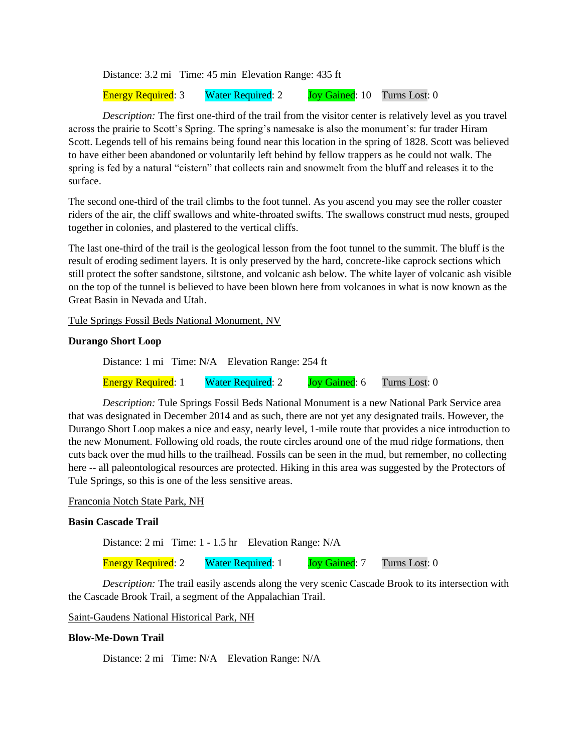Distance: 3.2 mi Time: 45 min Elevation Range: 435 ft

Energy Required: 3 Water Required: 2 Joy Gained: 10 Turns Lost: 0

*Description:* The first one-third of the trail from the visitor center is relatively level as you travel across the prairie to Scott's Spring. The spring's namesake is also the monument's: fur trader Hiram Scott. Legends tell of his remains being found near this location in the spring of 1828. Scott was believed to have either been abandoned or voluntarily left behind by fellow trappers as he could not walk. The spring is fed by a natural "cistern" that collects rain and snowmelt from the bluff and releases it to the surface.

The second one-third of the trail climbs to the foot tunnel. As you ascend you may see the roller coaster riders of the air, the cliff swallows and white-throated swifts. The swallows construct mud nests, grouped together in colonies, and plastered to the vertical cliffs.

The last one-third of the trail is the geological lesson from the foot tunnel to the summit. The bluff is the result of eroding sediment layers. It is only preserved by the hard, concrete-like caprock sections which still protect the softer sandstone, siltstone, and volcanic ash below. The white layer of volcanic ash visible on the top of the tunnel is believed to have been blown here from volcanoes in what is now known as the Great Basin in Nevada and Utah.

Tule Springs Fossil Beds National Monument, NV

## **Durango Short Loop**

Distance: 1 mi Time: N/A Elevation Range: 254 ft

Energy Required: 1 Water Required: 2 Joy Gained: 6 Turns Lost: 0

*Description:* Tule Springs Fossil Beds National Monument is a new National Park Service area that was designated in December 2014 and as such, there are not yet any designated trails. However, the Durango Short Loop makes a nice and easy, nearly level, 1-mile route that provides a nice introduction to the new Monument. Following old roads, the route circles around one of the mud ridge formations, then cuts back over the mud hills to the trailhead. Fossils can be seen in the mud, but remember, no collecting here -- all paleontological resources are protected. Hiking in this area was suggested by the Protectors of Tule Springs, so this is one of the less sensitive areas.

## Franconia Notch State Park, NH

#### **Basin Cascade Trail**

Distance: 2 mi Time: 1 - 1.5 hr Elevation Range: N/A

Energy Required: 2 Water Required: 1 Joy Gained: 7 Turns Lost: 0

*Description:* The trail easily ascends along the very scenic Cascade Brook to its intersection with the Cascade Brook Trail, a segment of the Appalachian Trail.

Saint-Gaudens National Historical Park, NH

## **Blow-Me-Down Trail**

Distance: 2 mi Time: N/A Elevation Range: N/A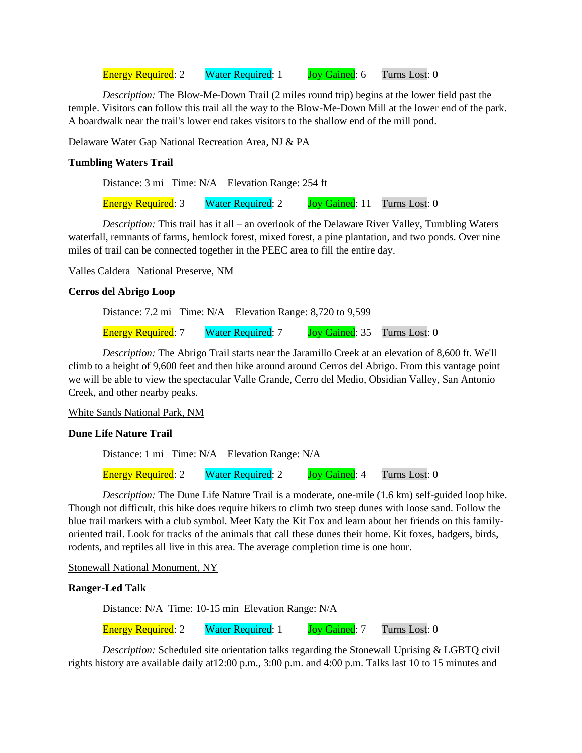Energy Required: 2 Water Required: 1 Joy Gained: 6 Turns Lost: 0

*Description:* The Blow-Me-Down Trail (2 miles round trip) begins at the lower field past the temple. Visitors can follow this trail all the way to the Blow-Me-Down Mill at the lower end of the park. A boardwalk near the trail's lower end takes visitors to the shallow end of the mill pond.

Delaware Water Gap National Recreation Area, NJ & PA

## **Tumbling Waters Trail**

Distance: 3 mi Time: N/A Elevation Range: 254 ft

Energy Required: 3 Water Required: 2 Joy Gained: 11 Turns Lost: 0

*Description:* This trail has it all – an overlook of the Delaware River Valley, Tumbling Waters waterfall, remnants of farms, hemlock forest, mixed forest, a pine plantation, and two ponds. Over nine miles of trail can be connected together in the PEEC area to fill the entire day.

## Valles Caldera National Preserve, NM

## **Cerros del Abrigo Loop**

Distance: 7.2 mi Time: N/A Elevation Range: 8,720 to 9,599 Energy Required: 7 Water Required: 7 Joy Gained: 35 Turns Lost: 0

*Description:* The Abrigo Trail starts near the Jaramillo Creek at an elevation of 8,600 ft. We'll climb to a height of 9,600 feet and then hike around around Cerros del Abrigo. From this vantage point we will be able to view the spectacular Valle Grande, Cerro del Medio, Obsidian Valley, San Antonio Creek, and other nearby peaks.

White Sands National Park, NM

## **Dune Life Nature Trail**

Distance: 1 mi Time: N/A Elevation Range: N/A

Energy Required: 2 Water Required: 2 Joy Gained: 4 Turns Lost: 0

*Description:* The Dune Life Nature Trail is a moderate, one-mile (1.6 km) self-guided loop hike. Though not difficult, this hike does require hikers to climb two steep dunes with loose sand. Follow the blue trail markers with a club symbol. Meet Katy the Kit Fox and learn about her friends on this familyoriented trail. Look for tracks of the animals that call these dunes their home. Kit foxes, badgers, birds, rodents, and reptiles all live in this area. The average completion time is one hour.

Stonewall National Monument, NY

## **Ranger-Led Talk**

Distance: N/A Time: 10-15 min Elevation Range: N/A

Energy Required: 2 Water Required: 1 Joy Gained: 7 Turns Lost: 0

*Description:* Scheduled site orientation talks regarding the Stonewall Uprising & LGBTQ civil rights history are available daily at12:00 p.m., 3:00 p.m. and 4:00 p.m. Talks last 10 to 15 minutes and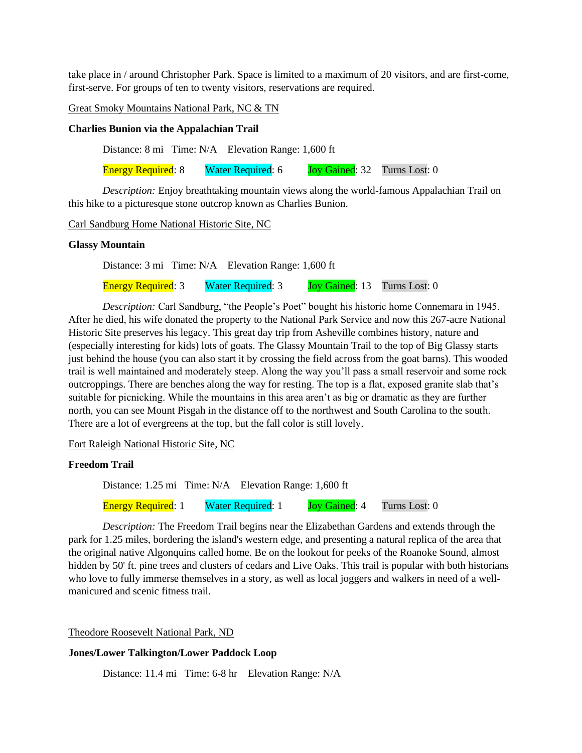take place in / around Christopher Park. Space is limited to a maximum of 20 visitors, and are first-come, first-serve. For groups of ten to twenty visitors, reservations are required.

Great Smoky Mountains National Park, NC & TN

#### **Charlies Bunion via the Appalachian Trail**

Distance: 8 mi Time: N/A Elevation Range: 1,600 ft

Energy Required: 8 Water Required: 6 Joy Gained: 32 Turns Lost: 0

*Description:* Enjoy breathtaking mountain views along the world-famous Appalachian Trail on this hike to a picturesque stone outcrop known as Charlies Bunion.

Carl Sandburg Home National Historic Site, NC

#### **Glassy Mountain**

Distance: 3 mi Time: N/A Elevation Range: 1,600 ft

Energy Required: 3 Water Required: 3 Joy Gained: 13 Turns Lost: 0

*Description:* Carl Sandburg, "the People's Poet" bought his historic home Connemara in 1945. After he died, his wife donated the property to the National Park Service and now this 267-acre National Historic Site preserves his legacy. This great day trip from Asheville combines history, nature and (especially interesting for kids) lots of goats. The Glassy Mountain Trail to the top of Big Glassy starts just behind the house (you can also start it by crossing the field across from the goat barns). This wooded trail is well maintained and moderately steep. Along the way you'll pass a small reservoir and some rock outcroppings. There are benches along the way for resting. The top is a flat, exposed granite slab that's suitable for picnicking. While the mountains in this area aren't as big or dramatic as they are further north, you can see Mount Pisgah in the distance off to the northwest and South Carolina to the south. There are a lot of evergreens at the top, but the fall color is still lovely.

Fort Raleigh National Historic Site, NC

#### **Freedom Trail**

Distance: 1.25 mi Time: N/A Elevation Range: 1,600 ft

Energy Required: 1 Water Required: 1 Joy Gained: 4 Turns Lost: 0

*Description:* The Freedom Trail begins near the Elizabethan Gardens and extends through the park for 1.25 miles, bordering the island's western edge, and presenting a natural replica of the area that the original native Algonquins called home. Be on the lookout for peeks of the Roanoke Sound, almost hidden by 50' ft. pine trees and clusters of cedars and Live Oaks. This trail is popular with both historians who love to fully immerse themselves in a story, as well as local joggers and walkers in need of a wellmanicured and scenic fitness trail.

Theodore Roosevelt National Park, ND

## **Jones/Lower Talkington/Lower Paddock Loop**

Distance: 11.4 mi Time: 6-8 hr Elevation Range: N/A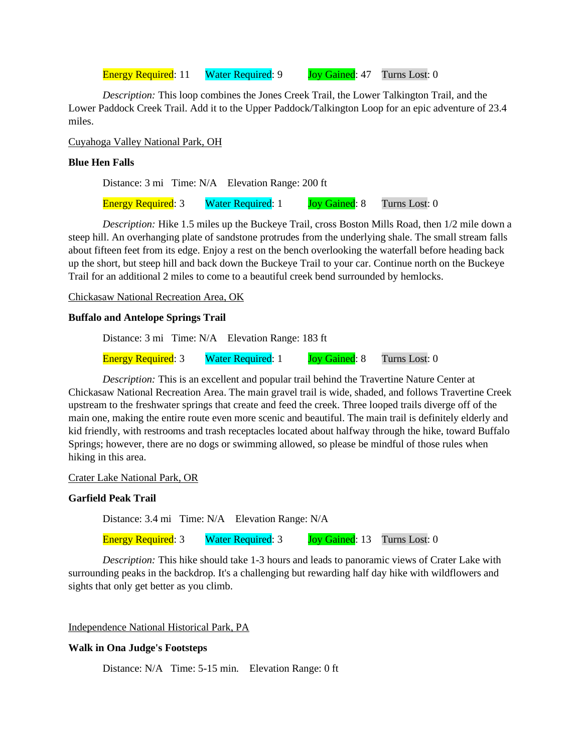Energy Required: 11 Water Required: 9 Joy Gained: 47 Turns Lost: 0

*Description:* This loop combines the Jones Creek Trail, the Lower Talkington Trail, and the Lower Paddock Creek Trail. Add it to the Upper Paddock/Talkington Loop for an epic adventure of 23.4 miles.

Cuyahoga Valley National Park, OH

## **Blue Hen Falls**

Distance: 3 mi Time: N/A Elevation Range: 200 ft

Energy Required: 3 Water Required: 1 Joy Gained: 8 Turns Lost: 0

*Description:* Hike 1.5 miles up the Buckeye Trail, cross Boston Mills Road, then 1/2 mile down a steep hill. An overhanging plate of sandstone protrudes from the underlying shale. The small stream falls about fifteen feet from its edge. Enjoy a rest on the bench overlooking the waterfall before heading back up the short, but steep hill and back down the Buckeye Trail to your car. Continue north on the Buckeye Trail for an additional 2 miles to come to a beautiful creek bend surrounded by hemlocks.

Chickasaw National Recreation Area, OK

#### **Buffalo and Antelope Springs Trail**

Distance: 3 mi Time: N/A Elevation Range: 183 ft

Energy Required: 3 Water Required: 1 Joy Gained: 8 Turns Lost: 0

*Description:* This is an excellent and popular trail behind the Travertine Nature Center at Chickasaw National Recreation Area. The main gravel trail is wide, shaded, and follows Travertine Creek upstream to the freshwater springs that create and feed the creek. Three looped trails diverge off of the main one, making the entire route even more scenic and beautiful. The main trail is definitely elderly and kid friendly, with restrooms and trash receptacles located about halfway through the hike, toward Buffalo Springs; however, there are no dogs or swimming allowed, so please be mindful of those rules when hiking in this area.

Crater Lake National Park, OR

## **Garfield Peak Trail**

Distance: 3.4 mi Time: N/A Elevation Range: N/A

Energy Required: 3 Water Required: 3 Joy Gained: 13 Turns Lost: 0

*Description:* This hike should take 1-3 hours and leads to panoramic views of Crater Lake with surrounding peaks in the backdrop. It's a challenging but rewarding half day hike with wildflowers and sights that only get better as you climb.

Independence National Historical Park, PA

## **Walk in Ona Judge's Footsteps**

Distance: N/A Time: 5-15 min. Elevation Range: 0 ft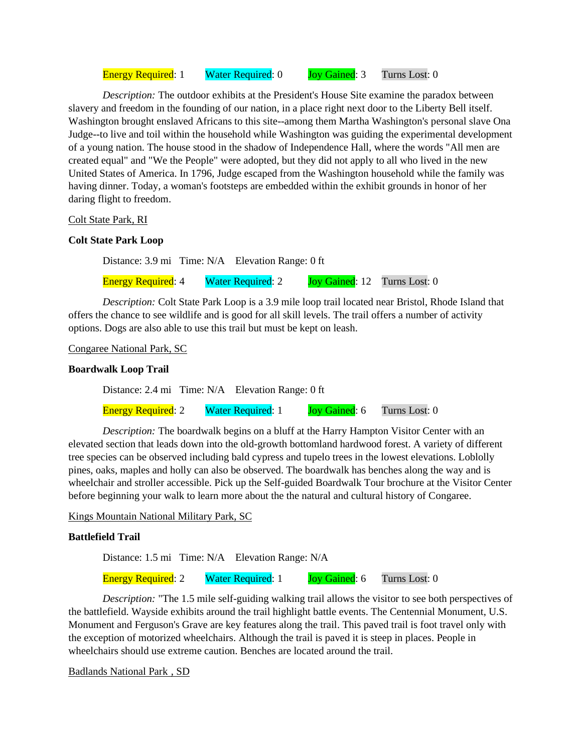Energy Required: 1 Water Required: 0 Joy Gained: 3 Turns Lost: 0

*Description:* The outdoor exhibits at the President's House Site examine the paradox between slavery and freedom in the founding of our nation, in a place right next door to the Liberty Bell itself. Washington brought enslaved Africans to this site--among them Martha Washington's personal slave Ona Judge--to live and toil within the household while Washington was guiding the experimental development of a young nation. The house stood in the shadow of Independence Hall, where the words "All men are created equal" and "We the People" were adopted, but they did not apply to all who lived in the new United States of America. In 1796, Judge escaped from the Washington household while the family was having dinner. Today, a woman's footsteps are embedded within the exhibit grounds in honor of her daring flight to freedom.

## Colt State Park, RI

## **Colt State Park Loop**

Distance: 3.9 mi Time: N/A Elevation Range: 0 ft

Energy Required: 4 Water Required: 2 Joy Gained: 12 Turns Lost: 0

*Description:* Colt State Park Loop is a 3.9 mile loop trail located near Bristol, Rhode Island that offers the chance to see wildlife and is good for all skill levels. The trail offers a number of activity options. Dogs are also able to use this trail but must be kept on leash.

## Congaree National Park, SC

## **Boardwalk Loop Trail**

Distance: 2.4 mi Time: N/A Elevation Range: 0 ft

Energy Required: 2 Water Required: 1 Joy Gained: 6 Turns Lost: 0

*Description:* The boardwalk begins on a bluff at the Harry Hampton Visitor Center with an elevated section that leads down into the old-growth bottomland hardwood forest. A variety of different tree species can be observed including bald cypress and tupelo trees in the lowest elevations. Loblolly pines, oaks, maples and holly can also be observed. The boardwalk has benches along the way and is wheelchair and stroller accessible. Pick up the Self-guided Boardwalk Tour brochure at the Visitor Center before beginning your walk to learn more about the the natural and cultural history of Congaree.

Kings Mountain National Military Park, SC

## **Battlefield Trail**

Distance: 1.5 mi Time: N/A Elevation Range: N/A

Energy Required: 2 Water Required: 1 Joy Gained: 6 Turns Lost: 0

*Description:* "The 1.5 mile self-guiding walking trail allows the visitor to see both perspectives of the battlefield. Wayside exhibits around the trail highlight battle events. The Centennial Monument, U.S. Monument and Ferguson's Grave are key features along the trail. This paved trail is foot travel only with the exception of motorized wheelchairs. Although the trail is paved it is steep in places. People in wheelchairs should use extreme caution. Benches are located around the trail.

Badlands National Park , SD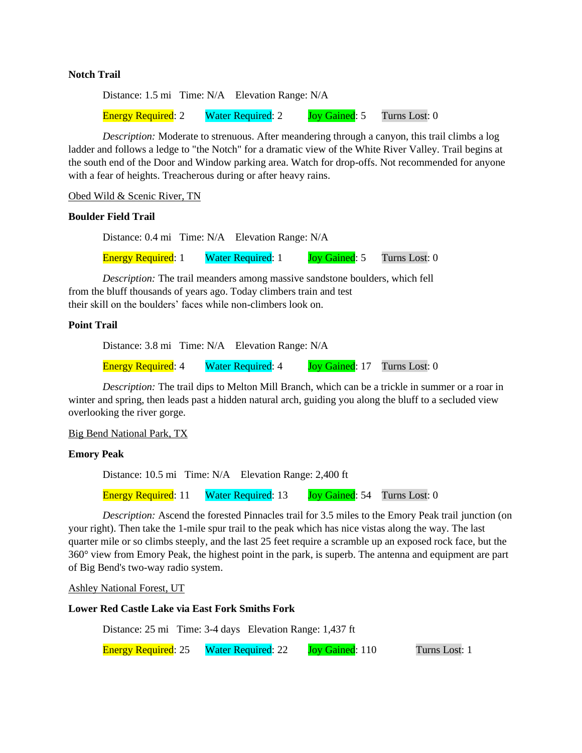#### **Notch Trail**

Distance: 1.5 mi Time: N/A Elevation Range: N/A Energy Required: 2 Water Required: 2 Joy Gained: 5 Turns Lost: 0

*Description:* Moderate to strenuous. After meandering through a canyon, this trail climbs a log ladder and follows a ledge to "the Notch" for a dramatic view of the White River Valley. Trail begins at the south end of the Door and Window parking area. Watch for drop-offs. Not recommended for anyone with a fear of heights. Treacherous during or after heavy rains.

Obed Wild & Scenic River, TN

#### **Boulder Field Trail**

Distance: 0.4 mi Time: N/A Elevation Range: N/A

Energy Required: 1 Water Required: 1 Joy Gained: 5 Turns Lost: 0

*Description:* The trail meanders among massive sandstone boulders, which fell from the bluff thousands of years ago. Today climbers train and test their skill on the boulders' faces while non-climbers look on.

## **Point Trail**

Distance: 3.8 mi Time: N/A Elevation Range: N/A Energy Required: 4 Water Required: 4 Joy Gained: 17 Turns Lost: 0

*Description:* The trail dips to Melton Mill Branch, which can be a trickle in summer or a roar in winter and spring, then leads past a hidden natural arch, guiding you along the bluff to a secluded view overlooking the river gorge.

## Big Bend National Park, TX

## **Emory Peak**

Distance: 10.5 mi Time: N/A Elevation Range: 2,400 ft

Energy Required: 11 Water Required: 13 Joy Gained: 54 Turns Lost: 0

*Description:* Ascend the forested Pinnacles trail for 3.5 miles to the Emory Peak trail junction (on your right). Then take the 1-mile spur trail to the peak which has nice vistas along the way. The last quarter mile or so climbs steeply, and the last 25 feet require a scramble up an exposed rock face, but the 360° view from Emory Peak, the highest point in the park, is superb. The antenna and equipment are part of Big Bend's two-way radio system.

#### Ashley National Forest, UT

## **Lower Red Castle Lake via East Fork Smiths Fork**

Distance: 25 mi Time: 3-4 days Elevation Range: 1,437 ft

Energy Required: 25 Water Required: 22 Joy Gained: 110 Turns Lost: 1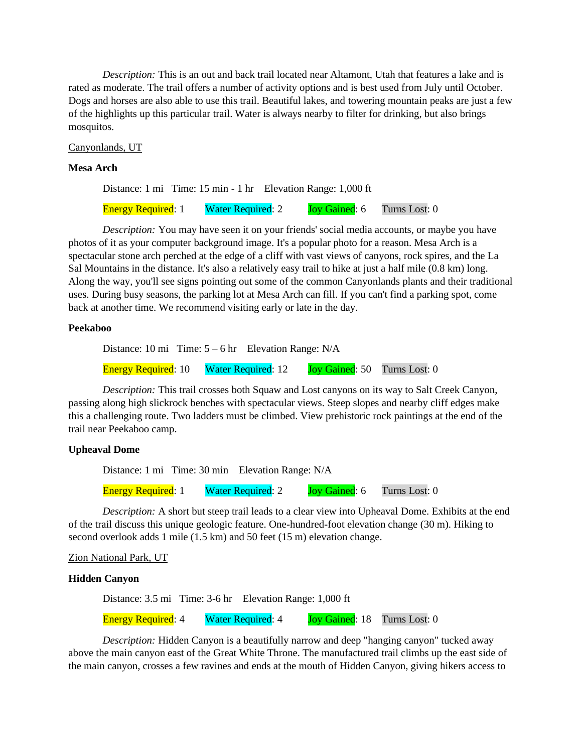*Description:* This is an out and back trail located near Altamont, Utah that features a lake and is rated as moderate. The trail offers a number of activity options and is best used from July until October. Dogs and horses are also able to use this trail. Beautiful lakes, and towering mountain peaks are just a few of the highlights up this particular trail. Water is always nearby to filter for drinking, but also brings mosquitos.

Canyonlands, UT

## **Mesa Arch**

Distance: 1 mi Time: 15 min - 1 hr Elevation Range: 1,000 ft

Energy Required: 1 Water Required: 2 Joy Gained: 6 Turns Lost: 0

*Description:* You may have seen it on your friends' social media accounts, or maybe you have photos of it as your computer background image. It's a popular photo for a reason. Mesa Arch is a spectacular stone arch perched at the edge of a cliff with vast views of canyons, rock spires, and the La Sal Mountains in the distance. It's also a relatively easy trail to hike at just a half mile (0.8 km) long. Along the way, you'll see signs pointing out some of the common Canyonlands plants and their traditional uses. During busy seasons, the parking lot at Mesa Arch can fill. If you can't find a parking spot, come back at another time. We recommend visiting early or late in the day.

## **Peekaboo**

Distance: 10 mi Time:  $5 - 6$  hr Elevation Range: N/A

Energy Required: 10 Water Required: 12 Joy Gained: 50 Turns Lost: 0

*Description:* This trail crosses both Squaw and Lost canyons on its way to Salt Creek Canyon, passing along high slickrock benches with spectacular views. Steep slopes and nearby cliff edges make this a challenging route. Two ladders must be climbed. View prehistoric rock paintings at the end of the trail near Peekaboo camp.

## **Upheaval Dome**

Distance: 1 mi Time: 30 min Elevation Range: N/A

Energy Required: 1 Water Required: 2 Joy Gained: 6 Turns Lost: 0

*Description:* A short but steep trail leads to a clear view into Upheaval Dome. Exhibits at the end of the trail discuss this unique geologic feature. One-hundred-foot elevation change (30 m). Hiking to second overlook adds 1 mile (1.5 km) and 50 feet (15 m) elevation change.

Zion National Park, UT

## **Hidden Canyon**

Distance: 3.5 mi Time: 3-6 hr Elevation Range: 1,000 ft

Energy Required: 4 Water Required: 4 Joy Gained: 18 Turns Lost: 0

*Description:* Hidden Canyon is a beautifully narrow and deep "hanging canyon" tucked away above the main canyon east of the Great White Throne. The manufactured trail climbs up the east side of the main canyon, crosses a few ravines and ends at the mouth of Hidden Canyon, giving hikers access to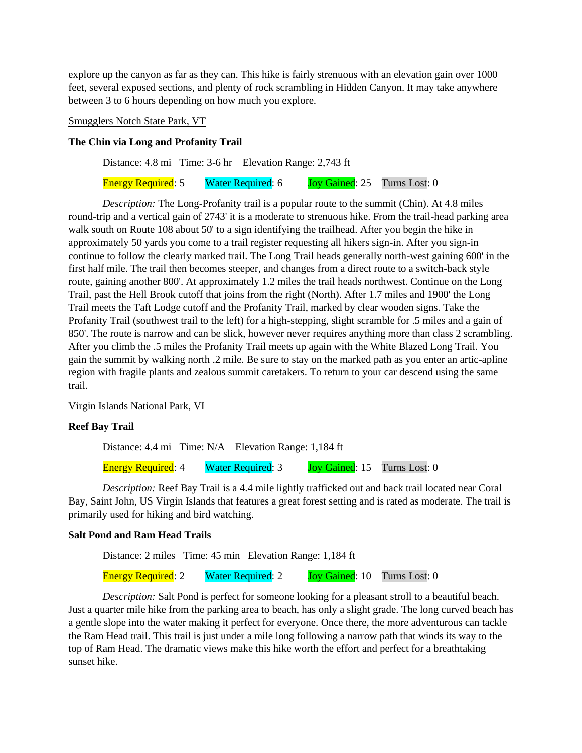explore up the canyon as far as they can. This hike is fairly strenuous with an elevation gain over 1000 feet, several exposed sections, and plenty of rock scrambling in Hidden Canyon. It may take anywhere between 3 to 6 hours depending on how much you explore.

Smugglers Notch State Park, VT

## **The Chin via Long and Profanity Trail**

Distance: 4.8 mi Time: 3-6 hr Elevation Range: 2,743 ft

Energy Required: 5 Water Required: 6 Joy Gained: 25 Turns Lost: 0

*Description:* The Long-Profanity trail is a popular route to the summit (Chin). At 4.8 miles round-trip and a vertical gain of 2743' it is a moderate to strenuous hike. From the trail-head parking area walk south on Route 108 about 50' to a sign identifying the trailhead. After you begin the hike in approximately 50 yards you come to a trail register requesting all hikers sign-in. After you sign-in continue to follow the clearly marked trail. The Long Trail heads generally north-west gaining 600' in the first half mile. The trail then becomes steeper, and changes from a direct route to a switch-back style route, gaining another 800'. At approximately 1.2 miles the trail heads northwest. Continue on the Long Trail, past the Hell Brook cutoff that joins from the right (North). After 1.7 miles and 1900' the Long Trail meets the Taft Lodge cutoff and the Profanity Trail, marked by clear wooden signs. Take the Profanity Trail (southwest trail to the left) for a high-stepping, slight scramble for .5 miles and a gain of 850'. The route is narrow and can be slick, however never requires anything more than class 2 scrambling. After you climb the .5 miles the Profanity Trail meets up again with the White Blazed Long Trail. You gain the summit by walking north .2 mile. Be sure to stay on the marked path as you enter an artic-apline region with fragile plants and zealous summit caretakers. To return to your car descend using the same trail.

Virgin Islands National Park, VI

## **Reef Bay Trail**

Distance: 4.4 mi Time: N/A Elevation Range: 1,184 ft

Energy Required: 4 Water Required: 3 Joy Gained: 15 Turns Lost: 0

*Description:* Reef Bay Trail is a 4.4 mile lightly trafficked out and back trail located near Coral Bay, Saint John, US Virgin Islands that features a great forest setting and is rated as moderate. The trail is primarily used for hiking and bird watching.

## **Salt Pond and Ram Head Trails**

Distance: 2 miles Time: 45 min Elevation Range: 1,184 ft

Energy Required: 2 Water Required: 2 Joy Gained: 10 Turns Lost: 0

*Description:* Salt Pond is perfect for someone looking for a pleasant stroll to a beautiful beach. Just a quarter mile hike from the parking area to beach, has only a slight grade. The long curved beach has a gentle slope into the water making it perfect for everyone. Once there, the more adventurous can tackle the Ram Head trail. This trail is just under a mile long following a narrow path that winds its way to the top of Ram Head. The dramatic views make this hike worth the effort and perfect for a breathtaking sunset hike.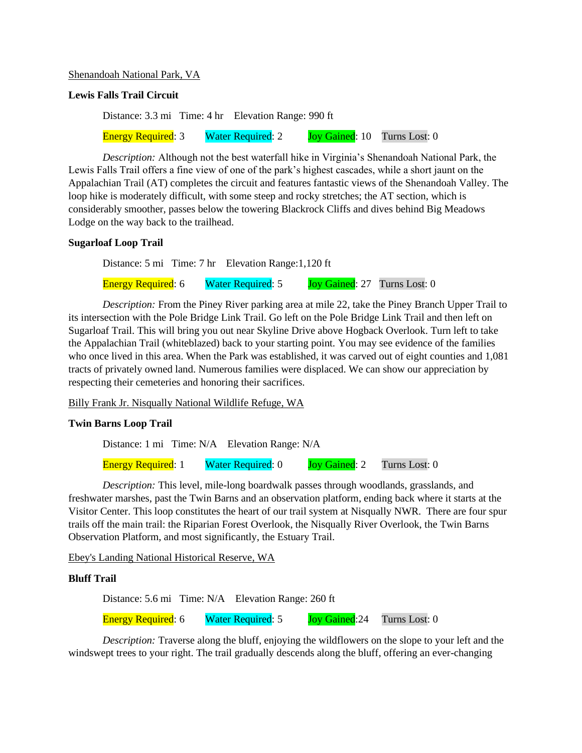## Shenandoah National Park, VA

## **Lewis Falls Trail Circuit**

Distance: 3.3 mi Time: 4 hr Elevation Range: 990 ft Energy Required: 3 Water Required: 2 Joy Gained: 10 Turns Lost: 0

*Description:* Although not the best waterfall hike in Virginia's Shenandoah National Park, the Lewis Falls Trail offers a fine view of one of the park's highest cascades, while a short jaunt on the Appalachian Trail (AT) completes the circuit and features fantastic views of the Shenandoah Valley. The loop hike is moderately difficult, with some steep and rocky stretches; the AT section, which is considerably smoother, passes below the towering Blackrock Cliffs and dives behind Big Meadows Lodge on the way back to the trailhead.

## **Sugarloaf Loop Trail**

Distance: 5 mi Time: 7 hr Elevation Range:1,120 ft

Energy Required: 6 Water Required: 5 Joy Gained: 27 Turns Lost: 0

*Description:* From the Piney River parking area at mile 22, take the Piney Branch Upper Trail to its intersection with the Pole Bridge Link Trail. Go left on the Pole Bridge Link Trail and then left on Sugarloaf Trail. This will bring you out near Skyline Drive above Hogback Overlook. Turn left to take the Appalachian Trail (whiteblazed) back to your starting point. You may see evidence of the families who once lived in this area. When the Park was established, it was carved out of eight counties and 1,081 tracts of privately owned land. Numerous families were displaced. We can show our appreciation by respecting their cemeteries and honoring their sacrifices.

Billy Frank Jr. Nisqually National Wildlife Refuge, WA

## **Twin Barns Loop Trail**

Distance: 1 mi Time: N/A Elevation Range: N/A Energy Required: 1 Water Required: 0 Joy Gained: 2 Turns Lost: 0

*Description:* This level, mile-long boardwalk passes through woodlands, grasslands, and freshwater marshes, past the Twin Barns and an observation platform, ending back where it starts at the Visitor Center. This loop constitutes the heart of our trail system at Nisqually NWR. There are four spur trails off the main trail: the Riparian Forest Overlook, the Nisqually River Overlook, the Twin Barns Observation Platform, and most significantly, the Estuary Trail.

Ebey's Landing National Historical Reserve, WA

## **Bluff Trail**

Distance: 5.6 mi Time: N/A Elevation Range: 260 ft

Energy Required: 6 Water Required: 5 Joy Gained: 24 Turns Lost: 0

*Description:* Traverse along the bluff, enjoying the wildflowers on the slope to your left and the windswept trees to your right. The trail gradually descends along the bluff, offering an ever-changing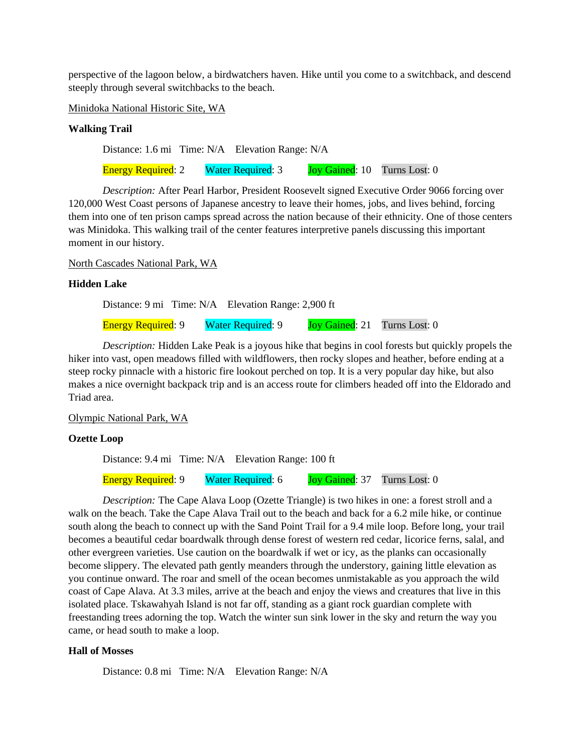perspective of the lagoon below, a birdwatchers haven. Hike until you come to a switchback, and descend steeply through several switchbacks to the beach.

Minidoka National Historic Site, WA

## **Walking Trail**

Distance: 1.6 mi Time: N/A Elevation Range: N/A

Energy Required: 2 Water Required: 3 Joy Gained: 10 Turns Lost: 0

*Description:* After Pearl Harbor, President Roosevelt signed Executive Order 9066 forcing over 120,000 West Coast persons of Japanese ancestry to leave their homes, jobs, and lives behind, forcing them into one of ten prison camps spread across the nation because of their ethnicity. One of those centers was Minidoka. This walking trail of the center features interpretive panels discussing this important moment in our history.

#### North Cascades National Park, WA

#### **Hidden Lake**

Distance: 9 mi Time: N/A Elevation Range: 2,900 ft

Energy Required: 9 Water Required: 9 Joy Gained: 21 Turns Lost: 0

*Description:* Hidden Lake Peak is a joyous hike that begins in cool forests but quickly propels the hiker into vast, open meadows filled with wildflowers, then rocky slopes and heather, before ending at a steep rocky pinnacle with a historic fire lookout perched on top. It is a very popular day hike, but also makes a nice overnight backpack trip and is an access route for climbers headed off into the Eldorado and Triad area.

#### Olympic National Park, WA

#### **Ozette Loop**

Distance: 9.4 mi Time: N/A Elevation Range: 100 ft

Energy Required: 9 Water Required: 6 Joy Gained: 37 Turns Lost: 0

*Description:* The Cape Alava Loop (Ozette Triangle) is two hikes in one: a forest stroll and a walk on the beach. Take the Cape Alava Trail out to the beach and back for a 6.2 mile hike, or continue south along the beach to connect up with the Sand Point Trail for a 9.4 mile loop. Before long, your trail becomes a beautiful cedar boardwalk through dense forest of western red cedar, licorice ferns, salal, and other evergreen varieties. Use caution on the boardwalk if wet or icy, as the planks can occasionally become slippery. The elevated path gently meanders through the understory, gaining little elevation as you continue onward. The roar and smell of the ocean becomes unmistakable as you approach the wild coast of Cape Alava. At 3.3 miles, arrive at the beach and enjoy the views and creatures that live in this isolated place. Tskawahyah Island is not far off, standing as a giant rock guardian complete with freestanding trees adorning the top. Watch the winter sun sink lower in the sky and return the way you came, or head south to make a loop.

## **Hall of Mosses**

Distance: 0.8 mi Time: N/A Elevation Range: N/A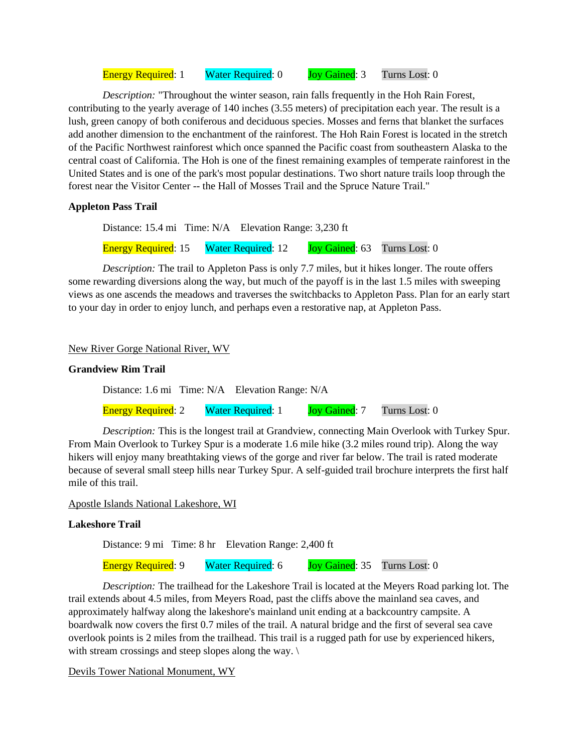Energy Required: 1 Water Required: 0 Joy Gained: 3 Turns Lost: 0

*Description:* "Throughout the winter season, rain falls frequently in the Hoh Rain Forest, contributing to the yearly average of 140 inches (3.55 meters) of precipitation each year. The result is a lush, green canopy of both coniferous and deciduous species. Mosses and ferns that blanket the surfaces add another dimension to the enchantment of the rainforest. The Hoh Rain Forest is located in the stretch of the Pacific Northwest rainforest which once spanned the Pacific coast from southeastern Alaska to the central coast of California. The Hoh is one of the finest remaining examples of temperate rainforest in the United States and is one of the park's most popular destinations. Two short nature trails loop through the forest near the Visitor Center -- the Hall of Mosses Trail and the Spruce Nature Trail."

## **Appleton Pass Trail**

Distance: 15.4 mi Time: N/A Elevation Range: 3,230 ft Energy Required: 15 Water Required: 12 Joy Gained: 63 Turns Lost: 0

*Description:* The trail to Appleton Pass is only 7.7 miles, but it hikes longer. The route offers some rewarding diversions along the way, but much of the payoff is in the last 1.5 miles with sweeping views as one ascends the meadows and traverses the switchbacks to Appleton Pass. Plan for an early start to your day in order to enjoy lunch, and perhaps even a restorative nap, at Appleton Pass.

#### New River Gorge National River, WV

#### **Grandview Rim Trail**

Distance: 1.6 mi Time: N/A Elevation Range: N/A

Energy Required: 2 Water Required: 1 Joy Gained: 7 Turns Lost: 0

*Description:* This is the longest trail at Grandview, connecting Main Overlook with Turkey Spur. From Main Overlook to Turkey Spur is a moderate 1.6 mile hike (3.2 miles round trip). Along the way hikers will enjoy many breathtaking views of the gorge and river far below. The trail is rated moderate because of several small steep hills near Turkey Spur. A self-guided trail brochure interprets the first half mile of this trail.

#### Apostle Islands National Lakeshore, WI

## **Lakeshore Trail**

Distance: 9 mi Time: 8 hr Elevation Range: 2,400 ft

Energy Required: 9 Water Required: 6 Joy Gained: 35 Turns Lost: 0

*Description:* The trailhead for the Lakeshore Trail is located at the Meyers Road parking lot. The trail extends about 4.5 miles, from Meyers Road, past the cliffs above the mainland sea caves, and approximately halfway along the lakeshore's mainland unit ending at a backcountry campsite. A boardwalk now covers the first 0.7 miles of the trail. A natural bridge and the first of several sea cave overlook points is 2 miles from the trailhead. This trail is a rugged path for use by experienced hikers, with stream crossings and steep slopes along the way.  $\langle \rangle$ 

Devils Tower National Monument, WY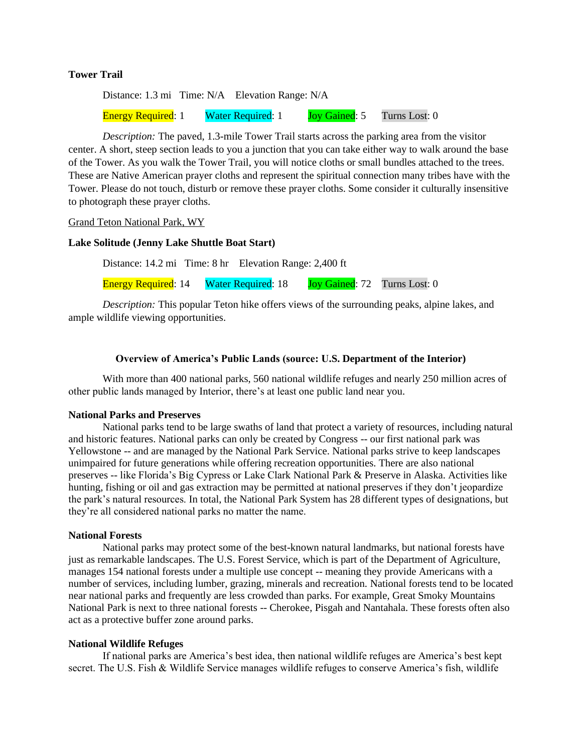## **Tower Trail**

Distance: 1.3 mi Time: N/A Elevation Range: N/A Energy Required: 1 Water Required: 1 Joy Gained: 5 Turns Lost: 0

*Description:* The paved, 1.3-mile Tower Trail starts across the parking area from the visitor center. A short, steep section leads to you a junction that you can take either way to walk around the base of the Tower. As you walk the Tower Trail, you will notice cloths or small bundles attached to the trees. These are Native American prayer cloths and represent the spiritual connection many tribes have with the Tower. Please do not touch, disturb or remove these prayer cloths. Some consider it culturally insensitive to photograph these prayer cloths.

Grand Teton National Park, WY

#### **Lake Solitude (Jenny Lake Shuttle Boat Start)**

Distance: 14.2 mi Time: 8 hr Elevation Range: 2,400 ft

Energy Required: 14 Water Required: 18 Joy Gained: 72 Turns Lost: 0

*Description:* This popular Teton hike offers views of the surrounding peaks, alpine lakes, and ample wildlife viewing opportunities.

#### **Overview of America's Public Lands (source: U.S. Department of the Interior)**

With more than 400 national parks, 560 national wildlife refuges and nearly 250 million acres of other public lands managed by Interior, there's at least one public land near you.

#### **National Parks and Preserves**

National parks tend to be large swaths of land that protect a variety of resources, including natural and historic features. National parks can only be created by Congress -- our first national park was Yellowstone -- and are managed by the National Park Service. National parks strive to keep landscapes unimpaired for future generations while offering recreation opportunities. There are also national preserves -- like Florida's Big Cypress or Lake Clark National Park & Preserve in Alaska. Activities like hunting, fishing or oil and gas extraction may be permitted at national preserves if they don't jeopardize the park's natural resources. In total, the National Park System has 28 different types of designations, but they're all considered national parks no matter the name.

#### **National Forests**

National parks may protect some of the best-known natural landmarks, but national forests have just as remarkable landscapes. The U.S. Forest Service, which is part of the Department of Agriculture, manages 154 national forests under a multiple use concept -- meaning they provide Americans with a number of services, including lumber, grazing, minerals and recreation. National forests tend to be located near national parks and frequently are less crowded than parks. For example, Great Smoky Mountains National Park is next to three national forests -- Cherokee, Pisgah and Nantahala. These forests often also act as a protective buffer zone around parks.

#### **National Wildlife Refuges**

If national parks are America's best idea, then national wildlife refuges are America's best kept secret. The U.S. Fish & Wildlife Service manages wildlife refuges to conserve America's fish, wildlife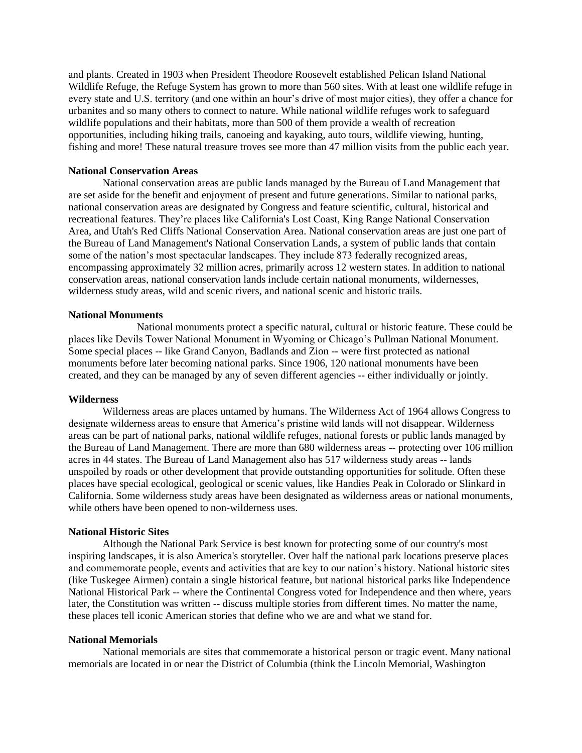and plants. Created in 1903 when President Theodore Roosevelt established Pelican Island National Wildlife Refuge, the Refuge System has grown to more than 560 sites. With at least one wildlife refuge in every state and U.S. territory (and one within an hour's drive of most major cities), they offer a chance for urbanites and so many others to connect to nature. While national wildlife refuges work to safeguard wildlife populations and their habitats, more than 500 of them provide a wealth of recreation opportunities, including hiking trails, canoeing and kayaking, auto tours, wildlife viewing, hunting, fishing and more! These natural treasure troves see more than 47 million visits from the public each year.

#### **National Conservation Areas**

National conservation areas are public lands managed by the Bureau of Land Management that are set aside for the benefit and enjoyment of present and future generations. Similar to national parks, national conservation areas are designated by Congress and feature scientific, cultural, historical and recreational features. They're places like California's Lost Coast, King Range National Conservation Area, and Utah's Red Cliffs National Conservation Area. National conservation areas are just one part of the Bureau of Land Management's National Conservation Lands, a system of public lands that contain some of the nation's most spectacular landscapes. They include 873 federally recognized areas, encompassing approximately 32 million acres, primarily across 12 western states. In addition to national conservation areas, national conservation lands include certain national monuments, wildernesses, wilderness study areas, wild and scenic rivers, and national scenic and historic trails.

## **National Monuments**

National monuments protect a specific natural, cultural or historic feature. These could be places like Devils Tower National Monument in Wyoming or Chicago's Pullman National Monument. Some special places -- like Grand Canyon, Badlands and Zion -- were first protected as national monuments before later becoming national parks. Since 1906, 120 national monuments have been created, and they can be managed by any of seven different agencies -- either individually or jointly.

#### **Wilderness**

Wilderness areas are places untamed by humans. The Wilderness Act of 1964 allows Congress to designate wilderness areas to ensure that America's pristine wild lands will not disappear. Wilderness areas can be part of national parks, national wildlife refuges, national forests or public lands managed by the Bureau of Land Management. There are more than 680 wilderness areas -- protecting over 106 million acres in 44 states. The Bureau of Land Management also has 517 wilderness study areas -- lands unspoiled by roads or other development that provide outstanding opportunities for solitude. Often these places have special ecological, geological or scenic values, like Handies Peak in Colorado or Slinkard in California. Some wilderness study areas have been designated as wilderness areas or national monuments, while others have been opened to non-wilderness uses.

#### **National Historic Sites**

Although the National Park Service is best known for protecting some of our country's most inspiring landscapes, it is also America's storyteller. Over half the national park locations preserve places and commemorate people, events and activities that are key to our nation's history. National historic sites (like Tuskegee Airmen) contain a single historical feature, but national historical parks like Independence National Historical Park -- where the Continental Congress voted for Independence and then where, years later, the Constitution was written -- discuss multiple stories from different times. No matter the name, these places tell iconic American stories that define who we are and what we stand for.

#### **National Memorials**

National memorials are sites that commemorate a historical person or tragic event. Many national memorials are located in or near the District of Columbia (think the Lincoln Memorial, Washington